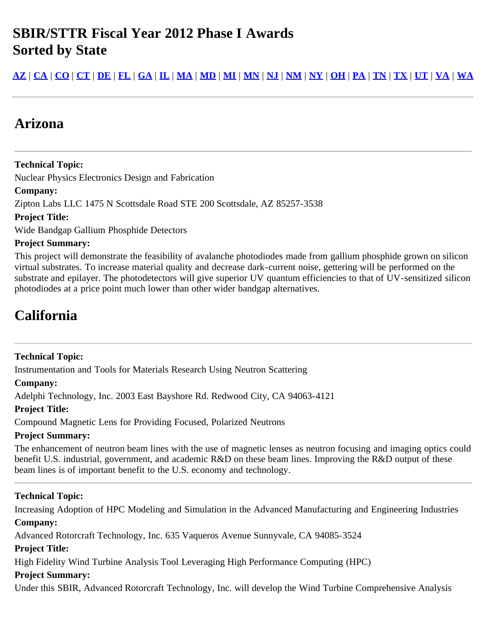## **SBIR/STTR Fiscal Year 2012 Phase I Awards Sorted by State**

<u>[AZ](#page-0-0) | [CA](#page-0-1) | [CO](#page-11-0) | [CT](#page-14-0) | [DE](#page-15-0) | [FL](#page-16-0) | [GA](#page-16-1) | [IL](#page-17-0) | [MA](#page-19-0) | [MD](#page-26-0) | [MI](#page-27-0) | [MN](#page-29-0) | [NJ](#page-30-0) | [NM](#page-31-0) | [NY](#page-32-0) | [OH](#page-35-0) | [PA](#page-39-0) | [TN](#page-40-0) | [TX](#page-40-1) | [UT](#page-42-0) | [VA](#page-42-1) | [WA](#page-44-0)</u>

## <span id="page-0-0"></span>**Arizona**

**Technical Topic:** Nuclear Physics Electronics Design and Fabrication **Company:** Zipton Labs LLC 1475 N Scottsdale Road STE 200 Scottsdale, AZ 85257-3538 **Project Title:**

Wide Bandgap Gallium Phosphide Detectors

## **Project Summary:**

This project will demonstrate the feasibility of avalanche photodiodes made from gallium phosphide grown on silicon virtual substrates. To increase material quality and decrease dark-current noise, gettering will be performed on the substrate and epilayer. The photodetectors will give superior UV quantum efficiencies to that of UV-sensitized silicon photodiodes at a price point much lower than other wider bandgap alternatives.

## <span id="page-0-1"></span>**California**

## **Technical Topic:**

Instrumentation and Tools for Materials Research Using Neutron Scattering

## **Company:**

Adelphi Technology, Inc. 2003 East Bayshore Rd. Redwood City, CA 94063-4121

## **Project Title:**

Compound Magnetic Lens for Providing Focused, Polarized Neutrons

## **Project Summary:**

The enhancement of neutron beam lines with the use of magnetic lenses as neutron focusing and imaging optics could benefit U.S. industrial, government, and academic R&D on these beam lines. Improving the R&D output of these beam lines is of important benefit to the U.S. economy and technology.

## **Technical Topic:**

Increasing Adoption of HPC Modeling and Simulation in the Advanced Manufacturing and Engineering Industries **Company:**

Advanced Rotorcraft Technology, Inc. 635 Vaqueros Avenue Sunnyvale, CA 94085-3524

## **Project Title:**

High Fidelity Wind Turbine Analysis Tool Leveraging High Performance Computing (HPC)

## **Project Summary:**

Under this SBIR, Advanced Rotorcraft Technology, Inc. will develop the Wind Turbine Comprehensive Analysis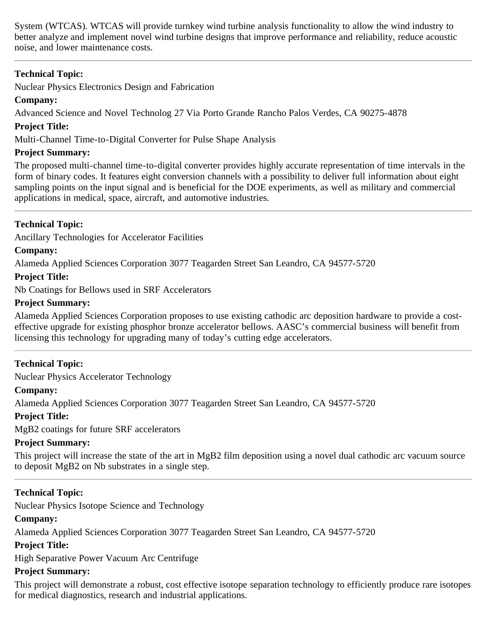System (WTCAS). WTCAS will provide turnkey wind turbine analysis functionality to allow the wind industry to better analyze and implement novel wind turbine designs that improve performance and reliability, reduce acoustic noise, and lower maintenance costs.

## **Technical Topic:**

Nuclear Physics Electronics Design and Fabrication

## **Company:**

Advanced Science and Novel Technolog 27 Via Porto Grande Rancho Palos Verdes, CA 90275-4878

## **Project Title:**

Multi-Channel Time-to-Digital Converter for Pulse Shape Analysis

## **Project Summary:**

The proposed multi-channel time-to-digital converter provides highly accurate representation of time intervals in the form of binary codes. It features eight conversion channels with a possibility to deliver full information about eight sampling points on the input signal and is beneficial for the DOE experiments, as well as military and commercial applications in medical, space, aircraft, and automotive industries.

## **Technical Topic:**

Ancillary Technologies for Accelerator Facilities

## **Company:**

Alameda Applied Sciences Corporation 3077 Teagarden Street San Leandro, CA 94577-5720

## **Project Title:**

Nb Coatings for Bellows used in SRF Accelerators

## **Project Summary:**

Alameda Applied Sciences Corporation proposes to use existing cathodic arc deposition hardware to provide a costeffective upgrade for existing phosphor bronze accelerator bellows. AASC's commercial business will benefit from licensing this technology for upgrading many of today's cutting edge accelerators.

## **Technical Topic:**

Nuclear Physics Accelerator Technology

## **Company:**

Alameda Applied Sciences Corporation 3077 Teagarden Street San Leandro, CA 94577-5720

## **Project Title:**

MgB2 coatings for future SRF accelerators

## **Project Summary:**

This project will increase the state of the art in MgB2 film deposition using a novel dual cathodic arc vacuum source to deposit MgB2 on Nb substrates in a single step.

## **Technical Topic:**

Nuclear Physics Isotope Science and Technology

## **Company:**

Alameda Applied Sciences Corporation 3077 Teagarden Street San Leandro, CA 94577-5720

## **Project Title:**

High Separative Power Vacuum Arc Centrifuge

## **Project Summary:**

This project will demonstrate a robust, cost effective isotope separation technology to efficiently produce rare isotopes for medical diagnostics, research and industrial applications.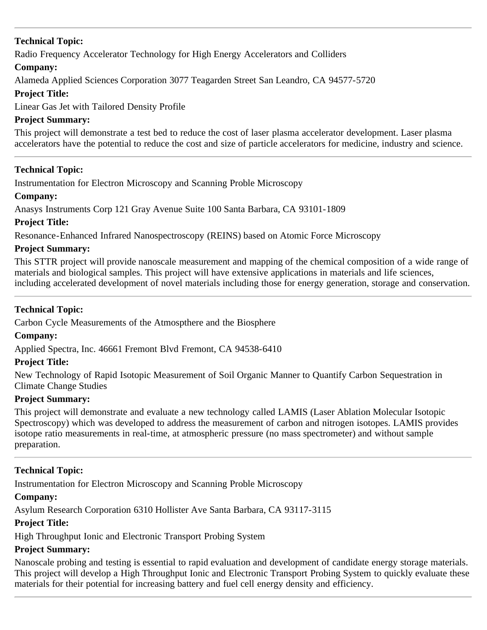Radio Frequency Accelerator Technology for High Energy Accelerators and Colliders

## **Company:**

Alameda Applied Sciences Corporation 3077 Teagarden Street San Leandro, CA 94577-5720

## **Project Title:**

Linear Gas Jet with Tailored Density Profile

## **Project Summary:**

This project will demonstrate a test bed to reduce the cost of laser plasma accelerator development. Laser plasma accelerators have the potential to reduce the cost and size of particle accelerators for medicine, industry and science.

## **Technical Topic:**

Instrumentation for Electron Microscopy and Scanning Proble Microscopy

## **Company:**

Anasys Instruments Corp 121 Gray Avenue Suite 100 Santa Barbara, CA 93101-1809

## **Project Title:**

Resonance-Enhanced Infrared Nanospectroscopy (REINS) based on Atomic Force Microscopy

## **Project Summary:**

This STTR project will provide nanoscale measurement and mapping of the chemical composition of a wide range of materials and biological samples. This project will have extensive applications in materials and life sciences, including accelerated development of novel materials including those for energy generation, storage and conservation.

## **Technical Topic:**

Carbon Cycle Measurements of the Atmospthere and the Biosphere

## **Company:**

Applied Spectra, Inc. 46661 Fremont Blvd Fremont, CA 94538-6410

## **Project Title:**

New Technology of Rapid Isotopic Measurement of Soil Organic Manner to Quantify Carbon Sequestration in Climate Change Studies

## **Project Summary:**

This project will demonstrate and evaluate a new technology called LAMIS (Laser Ablation Molecular Isotopic Spectroscopy) which was developed to address the measurement of carbon and nitrogen isotopes. LAMIS provides isotope ratio measurements in real-time, at atmospheric pressure (no mass spectrometer) and without sample preparation.

## **Technical Topic:**

Instrumentation for Electron Microscopy and Scanning Proble Microscopy

## **Company:**

Asylum Research Corporation 6310 Hollister Ave Santa Barbara, CA 93117-3115

## **Project Title:**

High Throughput Ionic and Electronic Transport Probing System

## **Project Summary:**

Nanoscale probing and testing is essential to rapid evaluation and development of candidate energy storage materials. This project will develop a High Throughput Ionic and Electronic Transport Probing System to quickly evaluate these materials for their potential for increasing battery and fuel cell energy density and efficiency.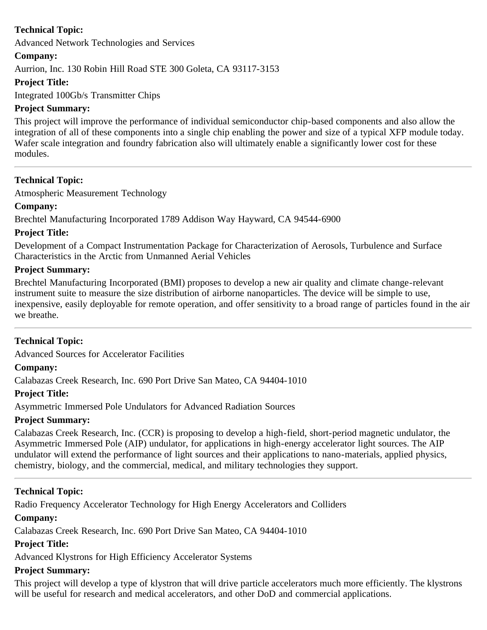Advanced Network Technologies and Services

## **Company:**

Aurrion, Inc. 130 Robin Hill Road STE 300 Goleta, CA 93117-3153

## **Project Title:**

Integrated 100Gb/s Transmitter Chips

## **Project Summary:**

This project will improve the performance of individual semiconductor chip-based components and also allow the integration of all of these components into a single chip enabling the power and size of a typical XFP module today. Wafer scale integration and foundry fabrication also will ultimately enable a significantly lower cost for these modules.

## **Technical Topic:**

Atmospheric Measurement Technology

## **Company:**

Brechtel Manufacturing Incorporated 1789 Addison Way Hayward, CA 94544-6900

## **Project Title:**

Development of a Compact Instrumentation Package for Characterization of Aerosols, Turbulence and Surface Characteristics in the Arctic from Unmanned Aerial Vehicles

## **Project Summary:**

Brechtel Manufacturing Incorporated (BMI) proposes to develop a new air quality and climate change-relevant instrument suite to measure the size distribution of airborne nanoparticles. The device will be simple to use, inexpensive, easily deployable for remote operation, and offer sensitivity to a broad range of particles found in the air we breathe.

## **Technical Topic:**

Advanced Sources for Accelerator Facilities

## **Company:**

Calabazas Creek Research, Inc. 690 Port Drive San Mateo, CA 94404-1010

## **Project Title:**

Asymmetric Immersed Pole Undulators for Advanced Radiation Sources

## **Project Summary:**

Calabazas Creek Research, Inc. (CCR) is proposing to develop a high-field, short-period magnetic undulator, the Asymmetric Immersed Pole (AIP) undulator, for applications in high-energy accelerator light sources. The AIP undulator will extend the performance of light sources and their applications to nano-materials, applied physics, chemistry, biology, and the commercial, medical, and military technologies they support.

## **Technical Topic:**

Radio Frequency Accelerator Technology for High Energy Accelerators and Colliders

## **Company:**

Calabazas Creek Research, Inc. 690 Port Drive San Mateo, CA 94404-1010

## **Project Title:**

Advanced Klystrons for High Efficiency Accelerator Systems

## **Project Summary:**

This project will develop a type of klystron that will drive particle accelerators much more efficiently. The klystrons will be useful for research and medical accelerators, and other DoD and commercial applications.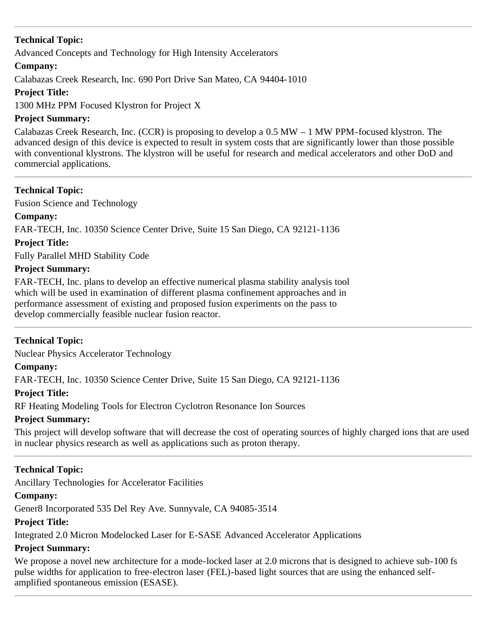Advanced Concepts and Technology for High Intensity Accelerators

## **Company:**

Calabazas Creek Research, Inc. 690 Port Drive San Mateo, CA 94404-1010

## **Project Title:**

1300 MHz PPM Focused Klystron for Project X

## **Project Summary:**

Calabazas Creek Research, Inc. (CCR) is proposing to develop a 0.5 MW – 1 MW PPM-focused klystron. The advanced design of this device is expected to result in system costs that are significantly lower than those possible with conventional klystrons. The klystron will be useful for research and medical accelerators and other DoD and commercial applications.

## **Technical Topic:**

Fusion Science and Technology

## **Company:**

FAR-TECH, Inc. 10350 Science Center Drive, Suite 15 San Diego, CA 92121-1136

## **Project Title:**

Fully Parallel MHD Stability Code

## **Project Summary:**

FAR-TECH, Inc. plans to develop an effective numerical plasma stability analysis tool which will be used in examination of different plasma confinement approaches and in performance assessment of existing and proposed fusion experiments on the pass to develop commercially feasible nuclear fusion reactor.

## **Technical Topic:**

Nuclear Physics Accelerator Technology

## **Company:**

FAR-TECH, Inc. 10350 Science Center Drive, Suite 15 San Diego, CA 92121-1136

## **Project Title:**

RF Heating Modeling Tools for Electron Cyclotron Resonance Ion Sources

## **Project Summary:**

This project will develop software that will decrease the cost of operating sources of highly charged ions that are used in nuclear physics research as well as applications such as proton therapy.

## **Technical Topic:**

Ancillary Technologies for Accelerator Facilities

## **Company:**

Gener8 Incorporated 535 Del Rey Ave. Sunnyvale, CA 94085-3514

## **Project Title:**

Integrated 2.0 Micron Modelocked Laser for E-SASE Advanced Accelerator Applications

## **Project Summary:**

We propose a novel new architecture for a mode-locked laser at 2.0 microns that is designed to achieve sub-100 fs pulse widths for application to free-electron laser (FEL)-based light sources that are using the enhanced selfamplified spontaneous emission (ESASE).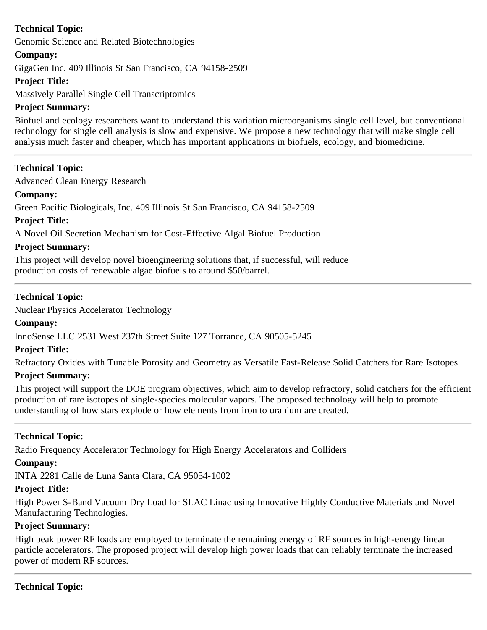Genomic Science and Related Biotechnologies

## **Company:**

GigaGen Inc. 409 Illinois St San Francisco, CA 94158-2509

## **Project Title:**

Massively Parallel Single Cell Transcriptomics

## **Project Summary:**

Biofuel and ecology researchers want to understand this variation microorganisms single cell level, but conventional technology for single cell analysis is slow and expensive. We propose a new technology that will make single cell analysis much faster and cheaper, which has important applications in biofuels, ecology, and biomedicine.

## **Technical Topic:**

Advanced Clean Energy Research

## **Company:**

Green Pacific Biologicals, Inc. 409 Illinois St San Francisco, CA 94158-2509

**Project Title:**

A Novel Oil Secretion Mechanism for Cost-Effective Algal Biofuel Production

## **Project Summary:**

This project will develop novel bioengineering solutions that, if successful, will reduce production costs of renewable algae biofuels to around \$50/barrel.

## **Technical Topic:**

Nuclear Physics Accelerator Technology

## **Company:**

InnoSense LLC 2531 West 237th Street Suite 127 Torrance, CA 90505-5245

## **Project Title:**

Refractory Oxides with Tunable Porosity and Geometry as Versatile Fast-Release Solid Catchers for Rare Isotopes

## **Project Summary:**

This project will support the DOE program objectives, which aim to develop refractory, solid catchers for the efficient production of rare isotopes of single-species molecular vapors. The proposed technology will help to promote understanding of how stars explode or how elements from iron to uranium are created.

## **Technical Topic:**

Radio Frequency Accelerator Technology for High Energy Accelerators and Colliders

## **Company:**

INTA 2281 Calle de Luna Santa Clara, CA 95054-1002

## **Project Title:**

High Power S-Band Vacuum Dry Load for SLAC Linac using Innovative Highly Conductive Materials and Novel Manufacturing Technologies.

## **Project Summary:**

High peak power RF loads are employed to terminate the remaining energy of RF sources in high-energy linear particle accelerators. The proposed project will develop high power loads that can reliably terminate the increased power of modern RF sources.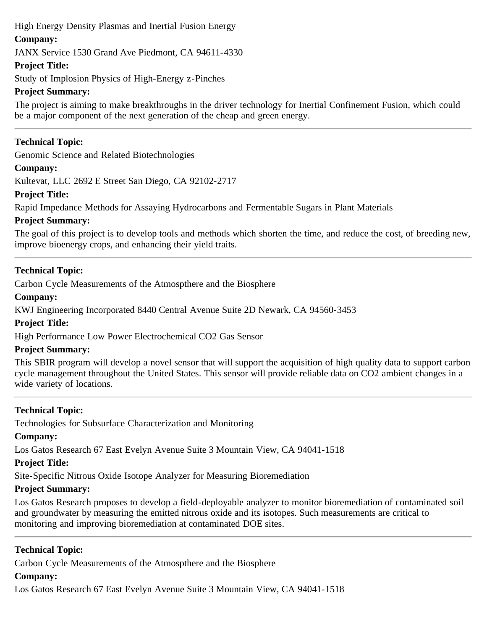## High Energy Density Plasmas and Inertial Fusion Energy

## **Company:**

JANX Service 1530 Grand Ave Piedmont, CA 94611-4330

## **Project Title:**

Study of Implosion Physics of High-Energy z-Pinches

## **Project Summary:**

The project is aiming to make breakthroughs in the driver technology for Inertial Confinement Fusion, which could be a major component of the next generation of the cheap and green energy.

## **Technical Topic:**

Genomic Science and Related Biotechnologies

## **Company:**

Kultevat, LLC 2692 E Street San Diego, CA 92102-2717

## **Project Title:**

Rapid Impedance Methods for Assaying Hydrocarbons and Fermentable Sugars in Plant Materials

## **Project Summary:**

The goal of this project is to develop tools and methods which shorten the time, and reduce the cost, of breeding new, improve bioenergy crops, and enhancing their yield traits.

## **Technical Topic:**

Carbon Cycle Measurements of the Atmospthere and the Biosphere

## **Company:**

KWJ Engineering Incorporated 8440 Central Avenue Suite 2D Newark, CA 94560-3453

## **Project Title:**

High Performance Low Power Electrochemical CO2 Gas Sensor

## **Project Summary:**

This SBIR program will develop a novel sensor that will support the acquisition of high quality data to support carbon cycle management throughout the United States. This sensor will provide reliable data on CO2 ambient changes in a wide variety of locations.

## **Technical Topic:**

Technologies for Subsurface Characterization and Monitoring

## **Company:**

Los Gatos Research 67 East Evelyn Avenue Suite 3 Mountain View, CA 94041-1518

## **Project Title:**

Site-Specific Nitrous Oxide Isotope Analyzer for Measuring Bioremediation

## **Project Summary:**

Los Gatos Research proposes to develop a field-deployable analyzer to monitor bioremediation of contaminated soil and groundwater by measuring the emitted nitrous oxide and its isotopes. Such measurements are critical to monitoring and improving bioremediation at contaminated DOE sites.

## **Technical Topic:**

Carbon Cycle Measurements of the Atmospthere and the Biosphere

## **Company:**

Los Gatos Research 67 East Evelyn Avenue Suite 3 Mountain View, CA 94041-1518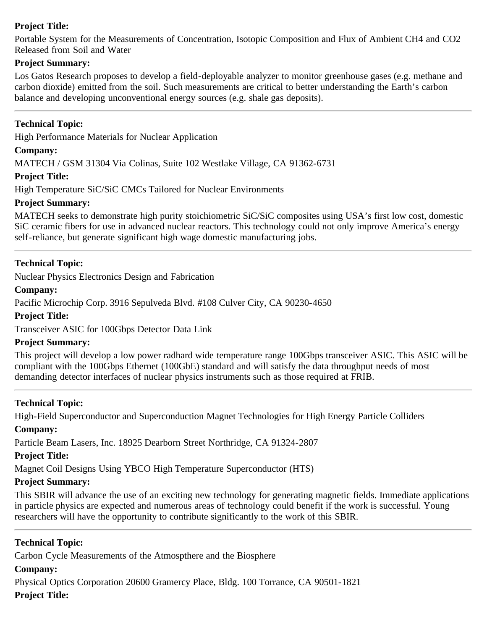## **Project Title:**

Portable System for the Measurements of Concentration, Isotopic Composition and Flux of Ambient CH4 and CO2 Released from Soil and Water

## **Project Summary:**

Los Gatos Research proposes to develop a field-deployable analyzer to monitor greenhouse gases (e.g. methane and carbon dioxide) emitted from the soil. Such measurements are critical to better understanding the Earth's carbon balance and developing unconventional energy sources (e.g. shale gas deposits).

#### **Technical Topic:**

High Performance Materials for Nuclear Application

#### **Company:**

MATECH / GSM 31304 Via Colinas, Suite 102 Westlake Village, CA 91362-6731

#### **Project Title:**

High Temperature SiC/SiC CMCs Tailored for Nuclear Environments

#### **Project Summary:**

MATECH seeks to demonstrate high purity stoichiometric SiC/SiC composites using USA's first low cost, domestic SiC ceramic fibers for use in advanced nuclear reactors. This technology could not only improve America's energy self-reliance, but generate significant high wage domestic manufacturing jobs.

#### **Technical Topic:**

Nuclear Physics Electronics Design and Fabrication

**Company:**

Pacific Microchip Corp. 3916 Sepulveda Blvd. #108 Culver City, CA 90230-4650

**Project Title:**

Transceiver ASIC for 100Gbps Detector Data Link

#### **Project Summary:**

This project will develop a low power radhard wide temperature range 100Gbps transceiver ASIC. This ASIC will be compliant with the 100Gbps Ethernet (100GbE) standard and will satisfy the data throughput needs of most demanding detector interfaces of nuclear physics instruments such as those required at FRIB.

## **Technical Topic:**

High-Field Superconductor and Superconduction Magnet Technologies for High Energy Particle Colliders

#### **Company:**

Particle Beam Lasers, Inc. 18925 Dearborn Street Northridge, CA 91324-2807

## **Project Title:**

Magnet Coil Designs Using YBCO High Temperature Superconductor (HTS)

## **Project Summary:**

This SBIR will advance the use of an exciting new technology for generating magnetic fields. Immediate applications in particle physics are expected and numerous areas of technology could benefit if the work is successful. Young researchers will have the opportunity to contribute significantly to the work of this SBIR.

## **Technical Topic:**

Carbon Cycle Measurements of the Atmospthere and the Biosphere

## **Company:**

Physical Optics Corporation 20600 Gramercy Place, Bldg. 100 Torrance, CA 90501-1821 **Project Title:**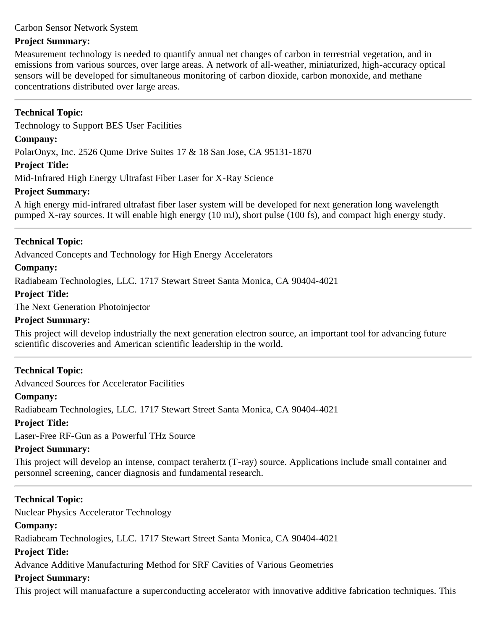#### Carbon Sensor Network System

#### **Project Summary:**

Measurement technology is needed to quantify annual net changes of carbon in terrestrial vegetation, and in emissions from various sources, over large areas. A network of all-weather, miniaturized, high-accuracy optical sensors will be developed for simultaneous monitoring of carbon dioxide, carbon monoxide, and methane concentrations distributed over large areas.

## **Technical Topic:**

Technology to Support BES User Facilities

#### **Company:**

PolarOnyx, Inc. 2526 Qume Drive Suites 17 & 18 San Jose, CA 95131-1870

#### **Project Title:**

Mid-Infrared High Energy Ultrafast Fiber Laser for X-Ray Science

## **Project Summary:**

A high energy mid-infrared ultrafast fiber laser system will be developed for next generation long wavelength pumped X-ray sources. It will enable high energy (10 mJ), short pulse (100 fs), and compact high energy study.

## **Technical Topic:**

Advanced Concepts and Technology for High Energy Accelerators

## **Company:**

Radiabeam Technologies, LLC. 1717 Stewart Street Santa Monica, CA 90404-4021

## **Project Title:**

The Next Generation Photoinjector

#### **Project Summary:**

This project will develop industrially the next generation electron source, an important tool for advancing future scientific discoveries and American scientific leadership in the world.

## **Technical Topic:**

Advanced Sources for Accelerator Facilities

## **Company:**

Radiabeam Technologies, LLC. 1717 Stewart Street Santa Monica, CA 90404-4021

## **Project Title:**

Laser-Free RF-Gun as a Powerful THz Source

## **Project Summary:**

This project will develop an intense, compact terahertz (T-ray) source. Applications include small container and personnel screening, cancer diagnosis and fundamental research.

## **Technical Topic:**

Nuclear Physics Accelerator Technology

## **Company:**

Radiabeam Technologies, LLC. 1717 Stewart Street Santa Monica, CA 90404-4021

#### **Project Title:**

Advance Additive Manufacturing Method for SRF Cavities of Various Geometries

## **Project Summary:**

This project will manuafacture a superconducting accelerator with innovative additive fabrication techniques. This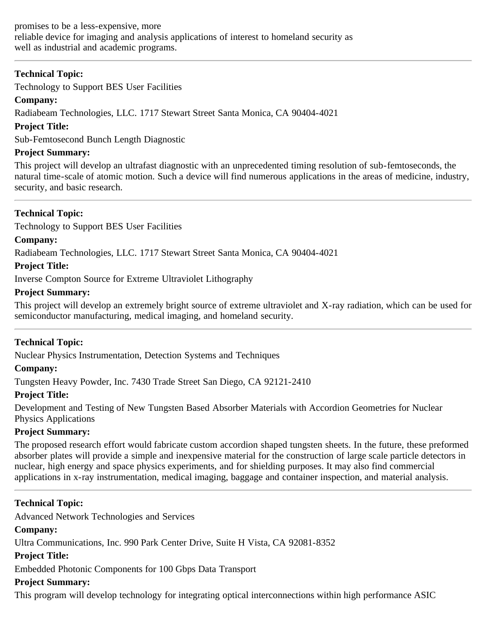Technology to Support BES User Facilities

## **Company:**

Radiabeam Technologies, LLC. 1717 Stewart Street Santa Monica, CA 90404-4021

## **Project Title:**

Sub-Femtosecond Bunch Length Diagnostic

## **Project Summary:**

This project will develop an ultrafast diagnostic with an unprecedented timing resolution of sub-femtoseconds, the natural time-scale of atomic motion. Such a device will find numerous applications in the areas of medicine, industry, security, and basic research.

## **Technical Topic:**

Technology to Support BES User Facilities

## **Company:**

Radiabeam Technologies, LLC. 1717 Stewart Street Santa Monica, CA 90404-4021

## **Project Title:**

Inverse Compton Source for Extreme Ultraviolet Lithography

## **Project Summary:**

This project will develop an extremely bright source of extreme ultraviolet and X-ray radiation, which can be used for semiconductor manufacturing, medical imaging, and homeland security.

## **Technical Topic:**

Nuclear Physics Instrumentation, Detection Systems and Techniques

## **Company:**

Tungsten Heavy Powder, Inc. 7430 Trade Street San Diego, CA 92121-2410

## **Project Title:**

Development and Testing of New Tungsten Based Absorber Materials with Accordion Geometries for Nuclear Physics Applications

## **Project Summary:**

The proposed research effort would fabricate custom accordion shaped tungsten sheets. In the future, these preformed absorber plates will provide a simple and inexpensive material for the construction of large scale particle detectors in nuclear, high energy and space physics experiments, and for shielding purposes. It may also find commercial applications in x-ray instrumentation, medical imaging, baggage and container inspection, and material analysis.

## **Technical Topic:**

Advanced Network Technologies and Services

## **Company:**

Ultra Communications, Inc. 990 Park Center Drive, Suite H Vista, CA 92081-8352

## **Project Title:**

Embedded Photonic Components for 100 Gbps Data Transport

## **Project Summary:**

This program will develop technology for integrating optical interconnections within high performance ASIC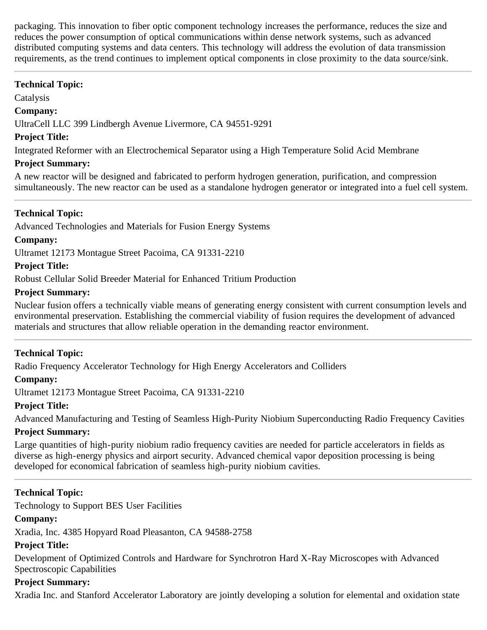packaging. This innovation to fiber optic component technology increases the performance, reduces the size and reduces the power consumption of optical communications within dense network systems, such as advanced distributed computing systems and data centers. This technology will address the evolution of data transmission requirements, as the trend continues to implement optical components in close proximity to the data source/sink.

## **Technical Topic:**

Catalysis

#### **Company:**

UltraCell LLC 399 Lindbergh Avenue Livermore, CA 94551-9291

#### **Project Title:**

Integrated Reformer with an Electrochemical Separator using a High Temperature Solid Acid Membrane

## **Project Summary:**

A new reactor will be designed and fabricated to perform hydrogen generation, purification, and compression simultaneously. The new reactor can be used as a standalone hydrogen generator or integrated into a fuel cell system.

## **Technical Topic:**

Advanced Technologies and Materials for Fusion Energy Systems

## **Company:**

Ultramet 12173 Montague Street Pacoima, CA 91331-2210

## **Project Title:**

Robust Cellular Solid Breeder Material for Enhanced Tritium Production

## **Project Summary:**

Nuclear fusion offers a technically viable means of generating energy consistent with current consumption levels and environmental preservation. Establishing the commercial viability of fusion requires the development of advanced materials and structures that allow reliable operation in the demanding reactor environment.

## **Technical Topic:**

Radio Frequency Accelerator Technology for High Energy Accelerators and Colliders

## **Company:**

Ultramet 12173 Montague Street Pacoima, CA 91331-2210

## **Project Title:**

Advanced Manufacturing and Testing of Seamless High-Purity Niobium Superconducting Radio Frequency Cavities

## **Project Summary:**

Large quantities of high-purity niobium radio frequency cavities are needed for particle accelerators in fields as diverse as high-energy physics and airport security. Advanced chemical vapor deposition processing is being developed for economical fabrication of seamless high-purity niobium cavities.

## **Technical Topic:**

Technology to Support BES User Facilities

## **Company:**

Xradia, Inc. 4385 Hopyard Road Pleasanton, CA 94588-2758

## **Project Title:**

Development of Optimized Controls and Hardware for Synchrotron Hard X-Ray Microscopes with Advanced Spectroscopic Capabilities

## **Project Summary:**

Xradia Inc. and Stanford Accelerator Laboratory are jointly developing a solution for elemental and oxidation state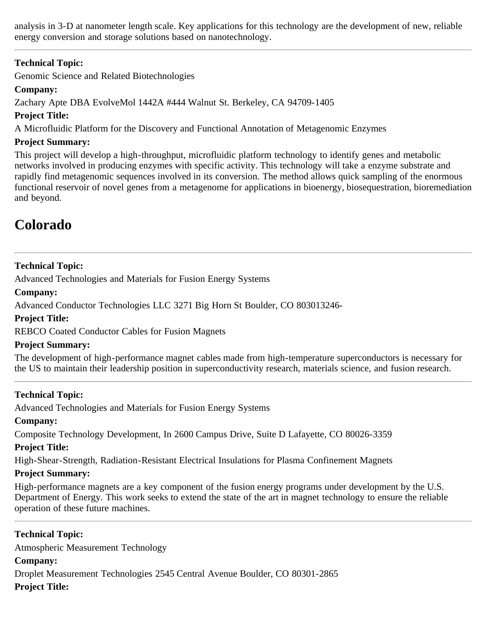analysis in 3-D at nanometer length scale. Key applications for this technology are the development of new, reliable energy conversion and storage solutions based on nanotechnology.

## **Technical Topic:**

Genomic Science and Related Biotechnologies

## **Company:**

Zachary Apte DBA EvolveMol 1442A #444 Walnut St. Berkeley, CA 94709-1405

## **Project Title:**

A Microfluidic Platform for the Discovery and Functional Annotation of Metagenomic Enzymes

## **Project Summary:**

This project will develop a high-throughput, microfluidic platform technology to identify genes and metabolic networks involved in producing enzymes with specific activity. This technology will take a enzyme substrate and rapidly find metagenomic sequences involved in its conversion. The method allows quick sampling of the enormous functional reservoir of novel genes from a metagenome for applications in bioenergy, biosequestration, bioremediation and beyond.

## <span id="page-11-0"></span>**Colorado**

## **Technical Topic:**

Advanced Technologies and Materials for Fusion Energy Systems

## **Company:**

Advanced Conductor Technologies LLC 3271 Big Horn St Boulder, CO 803013246-

## **Project Title:**

REBCO Coated Conductor Cables for Fusion Magnets

## **Project Summary:**

The development of high-performance magnet cables made from high-temperature superconductors is necessary for the US to maintain their leadership position in superconductivity research, materials science, and fusion research.

## **Technical Topic:**

Advanced Technologies and Materials for Fusion Energy Systems

## **Company:**

Composite Technology Development, In 2600 Campus Drive, Suite D Lafayette, CO 80026-3359

## **Project Title:**

High-Shear-Strength, Radiation-Resistant Electrical Insulations for Plasma Confinement Magnets

## **Project Summary:**

High-performance magnets are a key component of the fusion energy programs under development by the U.S. Department of Energy. This work seeks to extend the state of the art in magnet technology to ensure the reliable operation of these future machines.

**Technical Topic:** Atmospheric Measurement Technology **Company:** Droplet Measurement Technologies 2545 Central Avenue Boulder, CO 80301-2865 **Project Title:**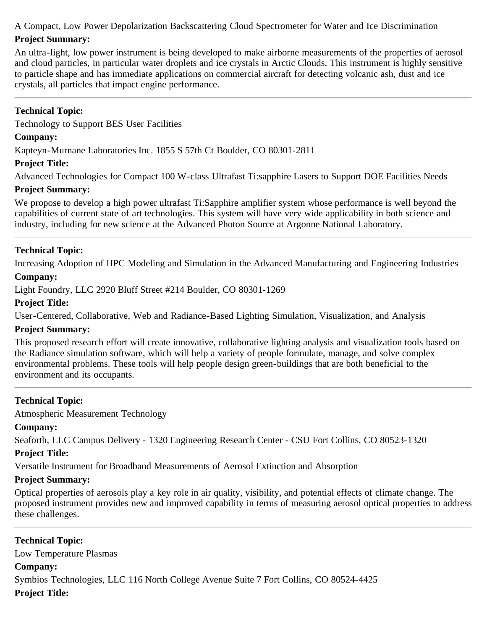A Compact, Low Power Depolarization Backscattering Cloud Spectrometer for Water and Ice Discrimination

## **Project Summary:**

An ultra-light, low power instrument is being developed to make airborne measurements of the properties of aerosol and cloud particles, in particular water droplets and ice crystals in Arctic Clouds. This instrument is highly sensitive to particle shape and has immediate applications on commercial aircraft for detecting volcanic ash, dust and ice crystals, all particles that impact engine performance.

## **Technical Topic:**

Technology to Support BES User Facilities

## **Company:**

Kapteyn-Murnane Laboratories Inc. 1855 S 57th Ct Boulder, CO 80301-2811

## **Project Title:**

Advanced Technologies for Compact 100 W-class Ultrafast Ti:sapphire Lasers to Support DOE Facilities Needs

## **Project Summary:**

We propose to develop a high power ultrafast Ti:Sapphire amplifier system whose performance is well beyond the capabilities of current state of art technologies. This system will have very wide applicability in both science and industry, including for new science at the Advanced Photon Source at Argonne National Laboratory.

## **Technical Topic:**

Increasing Adoption of HPC Modeling and Simulation in the Advanced Manufacturing and Engineering Industries

## **Company:**

Light Foundry, LLC 2920 Bluff Street #214 Boulder, CO 80301-1269

## **Project Title:**

User-Centered, Collaborative, Web and Radiance-Based Lighting Simulation, Visualization, and Analysis

## **Project Summary:**

This proposed research effort will create innovative, collaborative lighting analysis and visualization tools based on the Radiance simulation software, which will help a variety of people formulate, manage, and solve complex environmental problems. These tools will help people design green-buildings that are both beneficial to the environment and its occupants.

## **Technical Topic:**

Atmospheric Measurement Technology

## **Company:**

Seaforth, LLC Campus Delivery - 1320 Engineering Research Center - CSU Fort Collins, CO 80523-1320

## **Project Title:**

Versatile Instrument for Broadband Measurements of Aerosol Extinction and Absorption

## **Project Summary:**

Optical properties of aerosols play a key role in air quality, visibility, and potential effects of climate change. The proposed instrument provides new and improved capability in terms of measuring aerosol optical properties to address these challenges.

**Technical Topic:** Low Temperature Plasmas **Company:** Symbios Technologies, LLC 116 North College Avenue Suite 7 Fort Collins, CO 80524-4425 **Project Title:**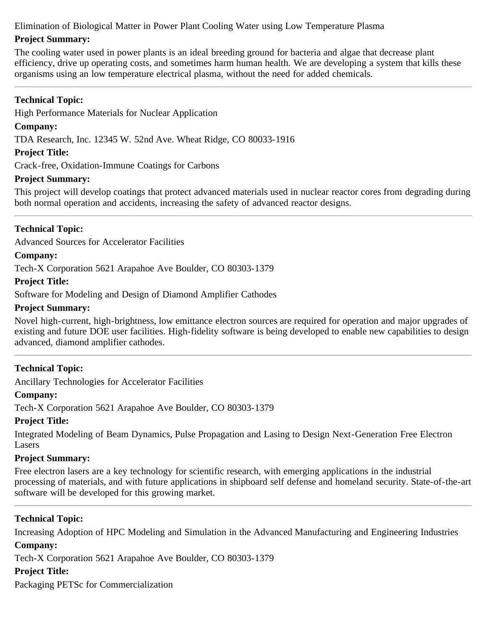Elimination of Biological Matter in Power Plant Cooling Water using Low Temperature Plasma

## **Project Summary:**

The cooling water used in power plants is an ideal breeding ground for bacteria and algae that decrease plant efficiency, drive up operating costs, and sometimes harm human health. We are developing a system that kills these organisms using an low temperature electrical plasma, without the need for added chemicals.

## **Technical Topic:**

High Performance Materials for Nuclear Application

## **Company:**

TDA Research, Inc. 12345 W. 52nd Ave. Wheat Ridge, CO 80033-1916

## **Project Title:**

Crack-free, Oxidation-Immune Coatings for Carbons

## **Project Summary:**

This project will develop coatings that protect advanced materials used in nuclear reactor cores from degrading during both normal operation and accidents, increasing the safety of advanced reactor designs.

## **Technical Topic:**

Advanced Sources for Accelerator Facilities

## **Company:**

Tech-X Corporation 5621 Arapahoe Ave Boulder, CO 80303-1379

#### **Project Title:**

Software for Modeling and Design of Diamond Amplifier Cathodes

#### **Project Summary:**

Novel high-current, high-brightness, low emittance electron sources are required for operation and major upgrades of existing and future DOE user facilities. High-fidelity software is being developed to enable new capabilities to design advanced, diamond amplifier cathodes.

## **Technical Topic:**

Ancillary Technologies for Accelerator Facilities

#### **Company:**

Tech-X Corporation 5621 Arapahoe Ave Boulder, CO 80303-1379

## **Project Title:**

Integrated Modeling of Beam Dynamics, Pulse Propagation and Lasing to Design Next-Generation Free Electron Lasers

## **Project Summary:**

Free electron lasers are a key technology for scientific research, with emerging applications in the industrial processing of materials, and with future applications in shipboard self defense and homeland security. State-of-the-art software will be developed for this growing market.

## **Technical Topic:**

Increasing Adoption of HPC Modeling and Simulation in the Advanced Manufacturing and Engineering Industries **Company:**

Tech-X Corporation 5621 Arapahoe Ave Boulder, CO 80303-1379

#### **Project Title:**

Packaging PETSc for Commercialization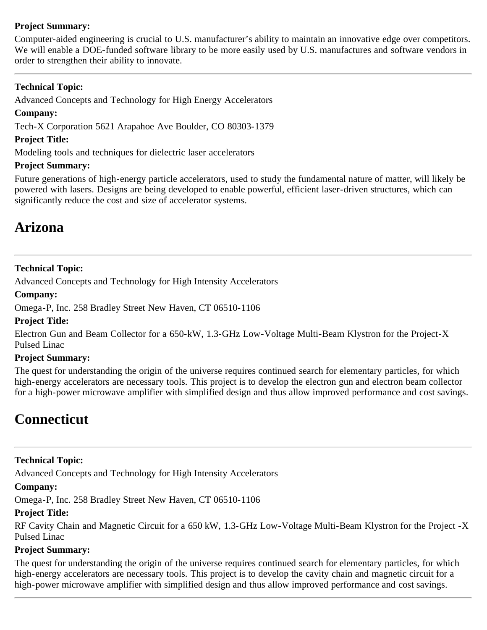## **Project Summary:**

Computer-aided engineering is crucial to U.S. manufacturer's ability to maintain an innovative edge over competitors. We will enable a DOE-funded software library to be more easily used by U.S. manufactures and software vendors in order to strengthen their ability to innovate.

## **Technical Topic:**

Advanced Concepts and Technology for High Energy Accelerators

#### **Company:**

Tech-X Corporation 5621 Arapahoe Ave Boulder, CO 80303-1379

## **Project Title:**

Modeling tools and techniques for dielectric laser accelerators

## **Project Summary:**

Future generations of high-energy particle accelerators, used to study the fundamental nature of matter, will likely be powered with lasers. Designs are being developed to enable powerful, efficient laser-driven structures, which can significantly reduce the cost and size of accelerator systems.

## **Arizona**

## **Technical Topic:**

Advanced Concepts and Technology for High Intensity Accelerators

#### **Company:**

Omega-P, Inc. 258 Bradley Street New Haven, CT 06510-1106

#### **Project Title:**

Electron Gun and Beam Collector for a 650-kW, 1.3-GHz Low-Voltage Multi-Beam Klystron for the Project-X Pulsed Linac

## **Project Summary:**

The quest for understanding the origin of the universe requires continued search for elementary particles, for which high-energy accelerators are necessary tools. This project is to develop the electron gun and electron beam collector for a high-power microwave amplifier with simplified design and thus allow improved performance and cost savings.

## <span id="page-14-0"></span>**Connecticut**

## **Technical Topic:**

Advanced Concepts and Technology for High Intensity Accelerators

## **Company:**

Omega-P, Inc. 258 Bradley Street New Haven, CT 06510-1106

## **Project Title:**

RF Cavity Chain and Magnetic Circuit for a 650 kW, 1.3-GHz Low-Voltage Multi-Beam Klystron for the Project -X Pulsed Linac

## **Project Summary:**

The quest for understanding the origin of the universe requires continued search for elementary particles, for which high-energy accelerators are necessary tools. This project is to develop the cavity chain and magnetic circuit for a high-power microwave amplifier with simplified design and thus allow improved performance and cost savings.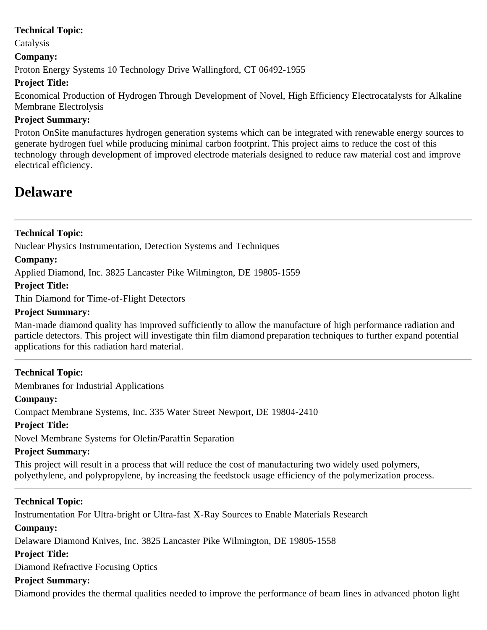Catalysis

## **Company:**

Proton Energy Systems 10 Technology Drive Wallingford, CT 06492-1955

## **Project Title:**

Economical Production of Hydrogen Through Development of Novel, High Efficiency Electrocatalysts for Alkaline Membrane Electrolysis

## **Project Summary:**

Proton OnSite manufactures hydrogen generation systems which can be integrated with renewable energy sources to generate hydrogen fuel while producing minimal carbon footprint. This project aims to reduce the cost of this technology through development of improved electrode materials designed to reduce raw material cost and improve electrical efficiency.

## <span id="page-15-0"></span>**Delaware**

## **Technical Topic:**

Nuclear Physics Instrumentation, Detection Systems and Techniques

## **Company:**

Applied Diamond, Inc. 3825 Lancaster Pike Wilmington, DE 19805-1559

## **Project Title:**

Thin Diamond for Time-of-Flight Detectors

## **Project Summary:**

Man-made diamond quality has improved sufficiently to allow the manufacture of high performance radiation and particle detectors. This project will investigate thin film diamond preparation techniques to further expand potential applications for this radiation hard material.

## **Technical Topic:**

Membranes for Industrial Applications

## **Company:**

Compact Membrane Systems, Inc. 335 Water Street Newport, DE 19804-2410

## **Project Title:**

Novel Membrane Systems for Olefin/Paraffin Separation

## **Project Summary:**

This project will result in a process that will reduce the cost of manufacturing two widely used polymers, polyethylene, and polypropylene, by increasing the feedstock usage efficiency of the polymerization process.

## **Technical Topic:**

Instrumentation For Ultra-bright or Ultra-fast X-Ray Sources to Enable Materials Research

## **Company:**

Delaware Diamond Knives, Inc. 3825 Lancaster Pike Wilmington, DE 19805-1558

## **Project Title:**

Diamond Refractive Focusing Optics

## **Project Summary:**

Diamond provides the thermal qualities needed to improve the performance of beam lines in advanced photon light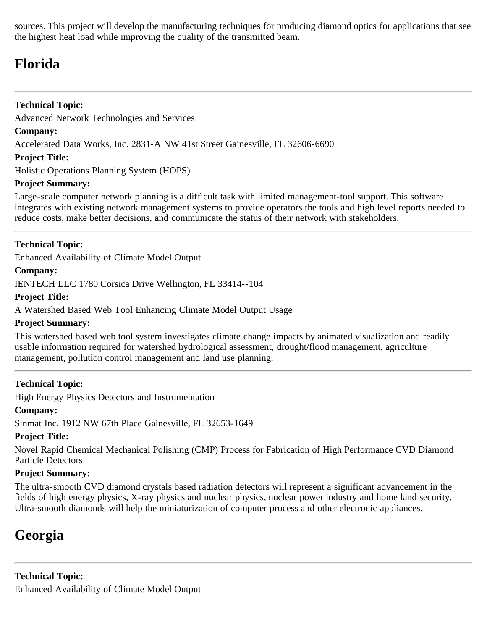sources. This project will develop the manufacturing techniques for producing diamond optics for applications that see the highest heat load while improving the quality of the transmitted beam.

## <span id="page-16-0"></span>**Florida**

## **Technical Topic:**

Advanced Network Technologies and Services

## **Company:**

Accelerated Data Works, Inc. 2831-A NW 41st Street Gainesville, FL 32606-6690

## **Project Title:**

Holistic Operations Planning System (HOPS)

## **Project Summary:**

Large-scale computer network planning is a difficult task with limited management-tool support. This software integrates with existing network management systems to provide operators the tools and high level reports needed to reduce costs, make better decisions, and communicate the status of their network with stakeholders.

## **Technical Topic:**

Enhanced Availability of Climate Model Output

## **Company:**

IENTECH LLC 1780 Corsica Drive Wellington, FL 33414--104

## **Project Title:**

A Watershed Based Web Tool Enhancing Climate Model Output Usage

## **Project Summary:**

This watershed based web tool system investigates climate change impacts by animated visualization and readily usable information required for watershed hydrological assessment, drought/flood management, agriculture management, pollution control management and land use planning.

## **Technical Topic:**

High Energy Physics Detectors and Instrumentation

## **Company:**

Sinmat Inc. 1912 NW 67th Place Gainesville, FL 32653-1649

## **Project Title:**

Novel Rapid Chemical Mechanical Polishing (CMP) Process for Fabrication of High Performance CVD Diamond Particle Detectors

## **Project Summary:**

The ultra-smooth CVD diamond crystals based radiation detectors will represent a significant advancement in the fields of high energy physics, X-ray physics and nuclear physics, nuclear power industry and home land security. Ultra-smooth diamonds will help the miniaturization of computer process and other electronic appliances.

## <span id="page-16-1"></span>**Georgia**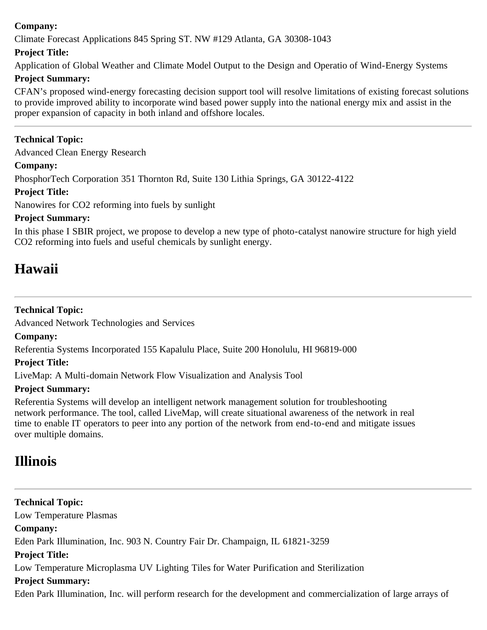## **Company:**

Climate Forecast Applications 845 Spring ST. NW #129 Atlanta, GA 30308-1043

## **Project Title:**

Application of Global Weather and Climate Model Output to the Design and Operatio of Wind-Energy Systems

## **Project Summary:**

CFAN's proposed wind-energy forecasting decision support tool will resolve limitations of existing forecast solutions to provide improved ability to incorporate wind based power supply into the national energy mix and assist in the proper expansion of capacity in both inland and offshore locales.

## **Technical Topic:**

Advanced Clean Energy Research

## **Company:**

PhosphorTech Corporation 351 Thornton Rd, Suite 130 Lithia Springs, GA 30122-4122

## **Project Title:**

Nanowires for CO2 reforming into fuels by sunlight

## **Project Summary:**

In this phase I SBIR project, we propose to develop a new type of photo-catalyst nanowire structure for high yield CO2 reforming into fuels and useful chemicals by sunlight energy.

## **Hawaii**

## **Technical Topic:**

Advanced Network Technologies and Services

## **Company:**

Referentia Systems Incorporated 155 Kapalulu Place, Suite 200 Honolulu, HI 96819-000

## **Project Title:**

LiveMap: A Multi-domain Network Flow Visualization and Analysis Tool

## **Project Summary:**

Referentia Systems will develop an intelligent network management solution for troubleshooting network performance. The tool, called LiveMap, will create situational awareness of the network in real time to enable IT operators to peer into any portion of the network from end-to-end and mitigate issues over multiple domains.

## <span id="page-17-0"></span>**Illinois**

**Technical Topic:** Low Temperature Plasmas **Company:** Eden Park Illumination, Inc. 903 N. Country Fair Dr. Champaign, IL 61821-3259 **Project Title:** Low Temperature Microplasma UV Lighting Tiles for Water Purification and Sterilization **Project Summary:** Eden Park Illumination, Inc. will perform research for the development and commercialization of large arrays of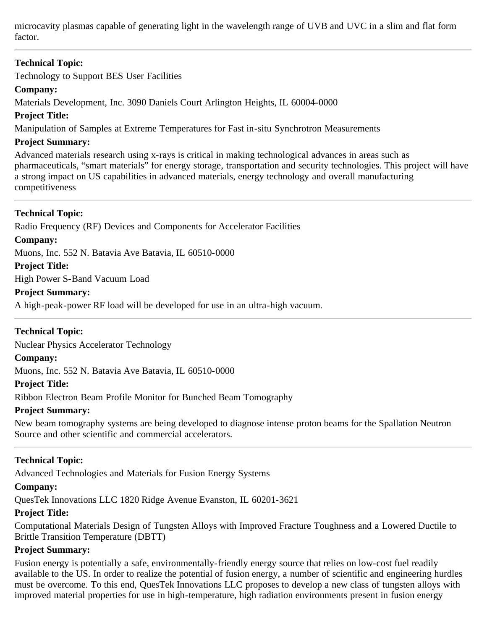microcavity plasmas capable of generating light in the wavelength range of UVB and UVC in a slim and flat form factor.

## **Technical Topic:**

Technology to Support BES User Facilities

## **Company:**

Materials Development, Inc. 3090 Daniels Court Arlington Heights, IL 60004-0000

**Project Title:**

Manipulation of Samples at Extreme Temperatures for Fast in-situ Synchrotron Measurements

#### **Project Summary:**

Advanced materials research using x-rays is critical in making technological advances in areas such as pharmaceuticals, "smart materials" for energy storage, transportation and security technologies. This project will have a strong impact on US capabilities in advanced materials, energy technology and overall manufacturing competitiveness

## **Technical Topic:**

Radio Frequency (RF) Devices and Components for Accelerator Facilities **Company:** Muons, Inc. 552 N. Batavia Ave Batavia, IL 60510-0000 **Project Title:**

High Power S-Band Vacuum Load

## **Project Summary:**

A high-peak-power RF load will be developed for use in an ultra-high vacuum.

## **Technical Topic:**

Nuclear Physics Accelerator Technology

## **Company:**

Muons, Inc. 552 N. Batavia Ave Batavia, IL 60510-0000

#### **Project Title:**

Ribbon Electron Beam Profile Monitor for Bunched Beam Tomography

## **Project Summary:**

New beam tomography systems are being developed to diagnose intense proton beams for the Spallation Neutron Source and other scientific and commercial accelerators.

## **Technical Topic:**

Advanced Technologies and Materials for Fusion Energy Systems

#### **Company:**

QuesTek Innovations LLC 1820 Ridge Avenue Evanston, IL 60201-3621

## **Project Title:**

Computational Materials Design of Tungsten Alloys with Improved Fracture Toughness and a Lowered Ductile to Brittle Transition Temperature (DBTT)

## **Project Summary:**

Fusion energy is potentially a safe, environmentally-friendly energy source that relies on low-cost fuel readily available to the US. In order to realize the potential of fusion energy, a number of scientific and engineering hurdles must be overcome. To this end, QuesTek Innovations LLC proposes to develop a new class of tungsten alloys with improved material properties for use in high-temperature, high radiation environments present in fusion energy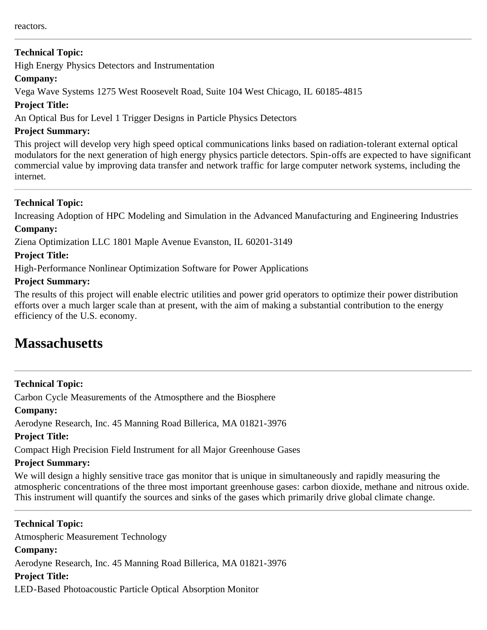High Energy Physics Detectors and Instrumentation

## **Company:**

Vega Wave Systems 1275 West Roosevelt Road, Suite 104 West Chicago, IL 60185-4815

## **Project Title:**

An Optical Bus for Level 1 Trigger Designs in Particle Physics Detectors

## **Project Summary:**

This project will develop very high speed optical communications links based on radiation-tolerant external optical modulators for the next generation of high energy physics particle detectors. Spin-offs are expected to have significant commercial value by improving data transfer and network traffic for large computer network systems, including the internet.

## **Technical Topic:**

Increasing Adoption of HPC Modeling and Simulation in the Advanced Manufacturing and Engineering Industries **Company:**

Ziena Optimization LLC 1801 Maple Avenue Evanston, IL 60201-3149

## **Project Title:**

High-Performance Nonlinear Optimization Software for Power Applications

## **Project Summary:**

The results of this project will enable electric utilities and power grid operators to optimize their power distribution efforts over a much larger scale than at present, with the aim of making a substantial contribution to the energy efficiency of the U.S. economy.

## <span id="page-19-0"></span>**Massachusetts**

## **Technical Topic:**

Carbon Cycle Measurements of the Atmospthere and the Biosphere

## **Company:**

Aerodyne Research, Inc. 45 Manning Road Billerica, MA 01821-3976

## **Project Title:**

Compact High Precision Field Instrument for all Major Greenhouse Gases

## **Project Summary:**

We will design a highly sensitive trace gas monitor that is unique in simultaneously and rapidly measuring the atmospheric concentrations of the three most important greenhouse gases: carbon dioxide, methane and nitrous oxide. This instrument will quantify the sources and sinks of the gases which primarily drive global climate change.

**Technical Topic:** Atmospheric Measurement Technology **Company:** Aerodyne Research, Inc. 45 Manning Road Billerica, MA 01821-3976 **Project Title:** LED-Based Photoacoustic Particle Optical Absorption Monitor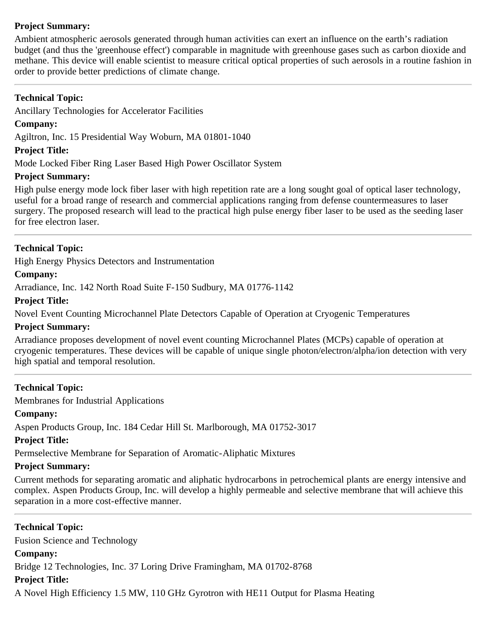## **Project Summary:**

Ambient atmospheric aerosols generated through human activities can exert an influence on the earth's radiation budget (and thus the 'greenhouse effect') comparable in magnitude with greenhouse gases such as carbon dioxide and methane. This device will enable scientist to measure critical optical properties of such aerosols in a routine fashion in order to provide better predictions of climate change.

## **Technical Topic:**

Ancillary Technologies for Accelerator Facilities

## **Company:**

Agiltron, Inc. 15 Presidential Way Woburn, MA 01801-1040

## **Project Title:**

Mode Locked Fiber Ring Laser Based High Power Oscillator System

#### **Project Summary:**

High pulse energy mode lock fiber laser with high repetition rate are a long sought goal of optical laser technology, useful for a broad range of research and commercial applications ranging from defense countermeasures to laser surgery. The proposed research will lead to the practical high pulse energy fiber laser to be used as the seeding laser for free electron laser.

## **Technical Topic:**

High Energy Physics Detectors and Instrumentation

#### **Company:**

Arradiance, Inc. 142 North Road Suite F-150 Sudbury, MA 01776-1142

#### **Project Title:**

Novel Event Counting Microchannel Plate Detectors Capable of Operation at Cryogenic Temperatures

#### **Project Summary:**

Arradiance proposes development of novel event counting Microchannel Plates (MCPs) capable of operation at cryogenic temperatures. These devices will be capable of unique single photon/electron/alpha/ion detection with very high spatial and temporal resolution.

## **Technical Topic:**

Membranes for Industrial Applications

## **Company:**

Aspen Products Group, Inc. 184 Cedar Hill St. Marlborough, MA 01752-3017

#### **Project Title:**

Permselective Membrane for Separation of Aromatic-Aliphatic Mixtures

## **Project Summary:**

Current methods for separating aromatic and aliphatic hydrocarbons in petrochemical plants are energy intensive and complex. Aspen Products Group, Inc. will develop a highly permeable and selective membrane that will achieve this separation in a more cost-effective manner.

**Technical Topic:** Fusion Science and Technology **Company:** Bridge 12 Technologies, Inc. 37 Loring Drive Framingham, MA 01702-8768 **Project Title:**

A Novel High Efficiency 1.5 MW, 110 GHz Gyrotron with HE11 Output for Plasma Heating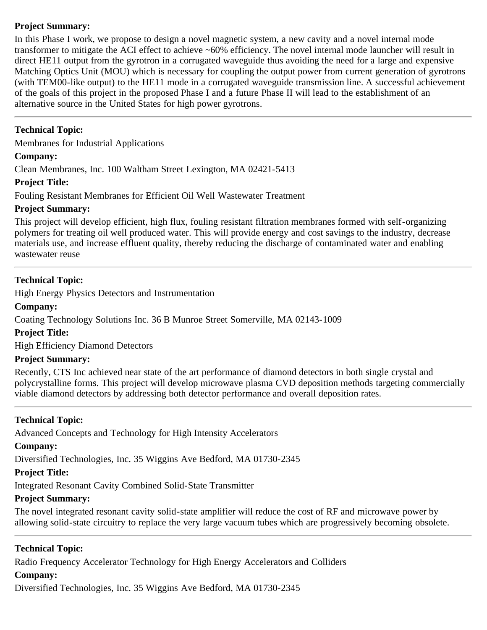## **Project Summary:**

In this Phase I work, we propose to design a novel magnetic system, a new cavity and a novel internal mode transformer to mitigate the ACI effect to achieve ~60% efficiency. The novel internal mode launcher will result in direct HE11 output from the gyrotron in a corrugated waveguide thus avoiding the need for a large and expensive Matching Optics Unit (MOU) which is necessary for coupling the output power from current generation of gyrotrons (with TEM00-like output) to the HE11 mode in a corrugated waveguide transmission line. A successful achievement of the goals of this project in the proposed Phase I and a future Phase II will lead to the establishment of an alternative source in the United States for high power gyrotrons.

## **Technical Topic:**

Membranes for Industrial Applications

## **Company:**

Clean Membranes, Inc. 100 Waltham Street Lexington, MA 02421-5413

## **Project Title:**

Fouling Resistant Membranes for Efficient Oil Well Wastewater Treatment

## **Project Summary:**

This project will develop efficient, high flux, fouling resistant filtration membranes formed with self-organizing polymers for treating oil well produced water. This will provide energy and cost savings to the industry, decrease materials use, and increase effluent quality, thereby reducing the discharge of contaminated water and enabling wastewater reuse

## **Technical Topic:**

High Energy Physics Detectors and Instrumentation

## **Company:**

Coating Technology Solutions Inc. 36 B Munroe Street Somerville, MA 02143-1009

## **Project Title:**

High Efficiency Diamond Detectors

## **Project Summary:**

Recently, CTS Inc achieved near state of the art performance of diamond detectors in both single crystal and polycrystalline forms. This project will develop microwave plasma CVD deposition methods targeting commercially viable diamond detectors by addressing both detector performance and overall deposition rates.

## **Technical Topic:**

Advanced Concepts and Technology for High Intensity Accelerators

## **Company:**

Diversified Technologies, Inc. 35 Wiggins Ave Bedford, MA 01730-2345

## **Project Title:**

Integrated Resonant Cavity Combined Solid-State Transmitter

## **Project Summary:**

The novel integrated resonant cavity solid-state amplifier will reduce the cost of RF and microwave power by allowing solid-state circuitry to replace the very large vacuum tubes which are progressively becoming obsolete.

## **Technical Topic:**

Radio Frequency Accelerator Technology for High Energy Accelerators and Colliders

## **Company:**

Diversified Technologies, Inc. 35 Wiggins Ave Bedford, MA 01730-2345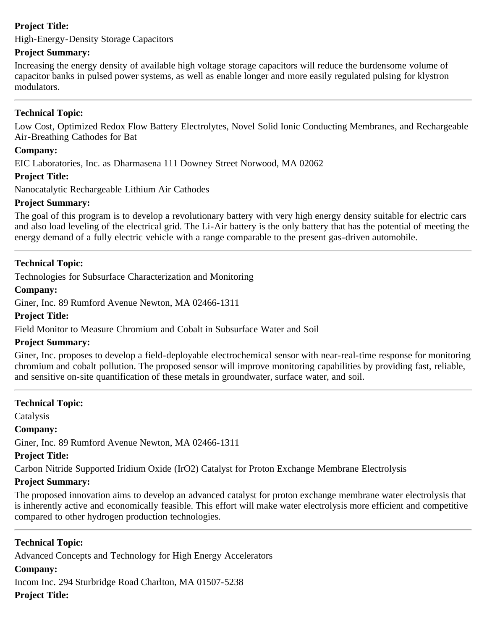## **Project Title:**

High-Energy-Density Storage Capacitors

## **Project Summary:**

Increasing the energy density of available high voltage storage capacitors will reduce the burdensome volume of capacitor banks in pulsed power systems, as well as enable longer and more easily regulated pulsing for klystron modulators.

## **Technical Topic:**

Low Cost, Optimized Redox Flow Battery Electrolytes, Novel Solid Ionic Conducting Membranes, and Rechargeable Air-Breathing Cathodes for Bat

#### **Company:**

EIC Laboratories, Inc. as Dharmasena 111 Downey Street Norwood, MA 02062

#### **Project Title:**

Nanocatalytic Rechargeable Lithium Air Cathodes

#### **Project Summary:**

The goal of this program is to develop a revolutionary battery with very high energy density suitable for electric cars and also load leveling of the electrical grid. The Li-Air battery is the only battery that has the potential of meeting the energy demand of a fully electric vehicle with a range comparable to the present gas-driven automobile.

#### **Technical Topic:**

Technologies for Subsurface Characterization and Monitoring

#### **Company:**

Giner, Inc. 89 Rumford Avenue Newton, MA 02466-1311

#### **Project Title:**

Field Monitor to Measure Chromium and Cobalt in Subsurface Water and Soil

#### **Project Summary:**

Giner, Inc. proposes to develop a field-deployable electrochemical sensor with near-real-time response for monitoring chromium and cobalt pollution. The proposed sensor will improve monitoring capabilities by providing fast, reliable, and sensitive on-site quantification of these metals in groundwater, surface water, and soil.

## **Technical Topic:**

Catalysis

## **Company:**

Giner, Inc. 89 Rumford Avenue Newton, MA 02466-1311

## **Project Title:**

Carbon Nitride Supported Iridium Oxide (IrO2) Catalyst for Proton Exchange Membrane Electrolysis

## **Project Summary:**

The proposed innovation aims to develop an advanced catalyst for proton exchange membrane water electrolysis that is inherently active and economically feasible. This effort will make water electrolysis more efficient and competitive compared to other hydrogen production technologies.

## **Technical Topic:**

Advanced Concepts and Technology for High Energy Accelerators

## **Company:**

Incom Inc. 294 Sturbridge Road Charlton, MA 01507-5238

## **Project Title:**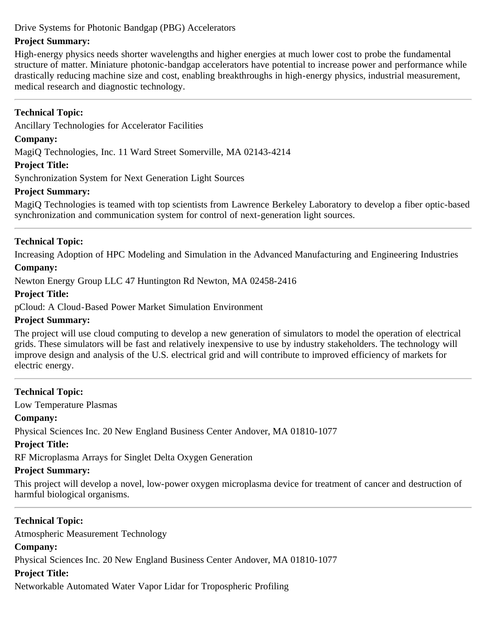## Drive Systems for Photonic Bandgap (PBG) Accelerators

## **Project Summary:**

High-energy physics needs shorter wavelengths and higher energies at much lower cost to probe the fundamental structure of matter. Miniature photonic-bandgap accelerators have potential to increase power and performance while drastically reducing machine size and cost, enabling breakthroughs in high-energy physics, industrial measurement, medical research and diagnostic technology.

## **Technical Topic:**

Ancillary Technologies for Accelerator Facilities

## **Company:**

MagiQ Technologies, Inc. 11 Ward Street Somerville, MA 02143-4214

## **Project Title:**

Synchronization System for Next Generation Light Sources

## **Project Summary:**

MagiQ Technologies is teamed with top scientists from Lawrence Berkeley Laboratory to develop a fiber optic-based synchronization and communication system for control of next-generation light sources.

## **Technical Topic:**

Increasing Adoption of HPC Modeling and Simulation in the Advanced Manufacturing and Engineering Industries

## **Company:**

Newton Energy Group LLC 47 Huntington Rd Newton, MA 02458-2416

## **Project Title:**

pCloud: A Cloud-Based Power Market Simulation Environment

## **Project Summary:**

The project will use cloud computing to develop a new generation of simulators to model the operation of electrical grids. These simulators will be fast and relatively inexpensive to use by industry stakeholders. The technology will improve design and analysis of the U.S. electrical grid and will contribute to improved efficiency of markets for electric energy.

## **Technical Topic:**

Low Temperature Plasmas

## **Company:**

Physical Sciences Inc. 20 New England Business Center Andover, MA 01810-1077

## **Project Title:**

RF Microplasma Arrays for Singlet Delta Oxygen Generation

## **Project Summary:**

This project will develop a novel, low-power oxygen microplasma device for treatment of cancer and destruction of harmful biological organisms.

## **Technical Topic:**

Atmospheric Measurement Technology

## **Company:**

Physical Sciences Inc. 20 New England Business Center Andover, MA 01810-1077

## **Project Title:**

Networkable Automated Water Vapor Lidar for Tropospheric Profiling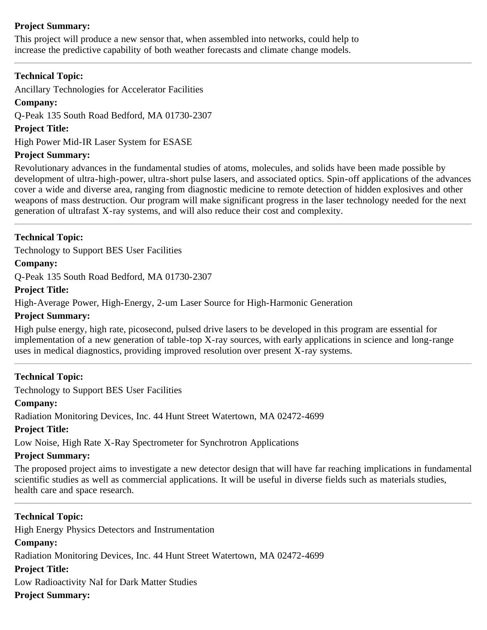## **Project Summary:**

This project will produce a new sensor that, when assembled into networks, could help to increase the predictive capability of both weather forecasts and climate change models.

## **Technical Topic:**

Ancillary Technologies for Accelerator Facilities

**Company:**

Q-Peak 135 South Road Bedford, MA 01730-2307

## **Project Title:**

High Power Mid-IR Laser System for ESASE

## **Project Summary:**

Revolutionary advances in the fundamental studies of atoms, molecules, and solids have been made possible by development of ultra-high-power, ultra-short pulse lasers, and associated optics. Spin-off applications of the advances cover a wide and diverse area, ranging from diagnostic medicine to remote detection of hidden explosives and other weapons of mass destruction. Our program will make significant progress in the laser technology needed for the next generation of ultrafast X-ray systems, and will also reduce their cost and complexity.

## **Technical Topic:**

Technology to Support BES User Facilities

## **Company:**

Q-Peak 135 South Road Bedford, MA 01730-2307

## **Project Title:**

High-Average Power, High-Energy, 2-um Laser Source for High-Harmonic Generation

#### **Project Summary:**

High pulse energy, high rate, picosecond, pulsed drive lasers to be developed in this program are essential for implementation of a new generation of table-top X-ray sources, with early applications in science and long-range uses in medical diagnostics, providing improved resolution over present X-ray systems.

## **Technical Topic:**

Technology to Support BES User Facilities

## **Company:**

Radiation Monitoring Devices, Inc. 44 Hunt Street Watertown, MA 02472-4699

## **Project Title:**

Low Noise, High Rate X-Ray Spectrometer for Synchrotron Applications

## **Project Summary:**

The proposed project aims to investigate a new detector design that will have far reaching implications in fundamental scientific studies as well as commercial applications. It will be useful in diverse fields such as materials studies, health care and space research.

**Technical Topic:** High Energy Physics Detectors and Instrumentation **Company:** Radiation Monitoring Devices, Inc. 44 Hunt Street Watertown, MA 02472-4699 **Project Title:** Low Radioactivity NaI for Dark Matter Studies **Project Summary:**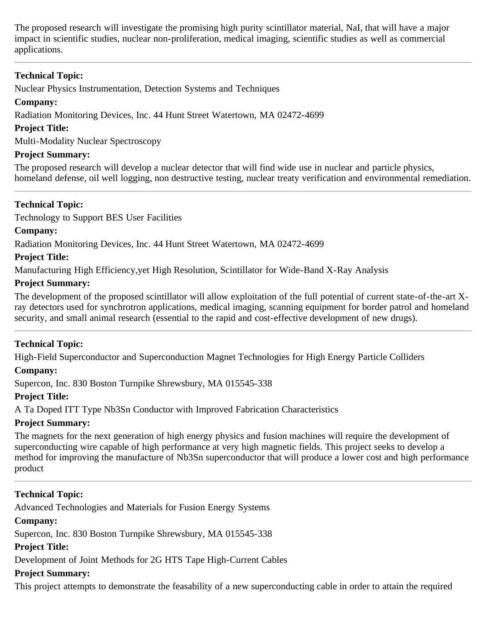The proposed research will investigate the promising high purity scintillator material, NaI, that will have a major impact in scientific studies, nuclear non-proliferation, medical imaging, scientific studies as well as commercial applications.

## **Technical Topic:**

Nuclear Physics Instrumentation, Detection Systems and Techniques

## **Company:**

Radiation Monitoring Devices, Inc. 44 Hunt Street Watertown, MA 02472-4699

## **Project Title:**

Multi-Modality Nuclear Spectroscopy

## **Project Summary:**

The proposed research will develop a nuclear detector that will find wide use in nuclear and particle physics, homeland defense, oil well logging, non destructive testing, nuclear treaty verification and environmental remediation.

## **Technical Topic:**

Technology to Support BES User Facilities

## **Company:**

Radiation Monitoring Devices, Inc. 44 Hunt Street Watertown, MA 02472-4699

## **Project Title:**

Manufacturing High Efficiency,yet High Resolution, Scintillator for Wide-Band X-Ray Analysis

## **Project Summary:**

The development of the proposed scintillator will allow exploitation of the full potential of current state-of-the-art Xray detectors used for synchrotron applications, medical imaging, scanning equipment for border patrol and homeland security, and small animal research (essential to the rapid and cost-effective development of new drugs).

## **Technical Topic:**

High-Field Superconductor and Superconduction Magnet Technologies for High Energy Particle Colliders

## **Company:**

Supercon, Inc. 830 Boston Turnpike Shrewsbury, MA 015545-338

## **Project Title:**

A Ta Doped ITT Type Nb3Sn Conductor with Improved Fabrication Characteristics

## **Project Summary:**

The magnets for the next generation of high energy physics and fusion machines will require the development of superconducting wire capable of high performance at very high magnetic fields. This project seeks to develop a method for improving the manufacture of Nb3Sn superconductor that will produce a lower cost and high performance product

## **Technical Topic:**

Advanced Technologies and Materials for Fusion Energy Systems

## **Company:**

Supercon, Inc. 830 Boston Turnpike Shrewsbury, MA 015545-338

## **Project Title:**

Development of Joint Methods for 2G HTS Tape High-Current Cables

## **Project Summary:**

This project attempts to demonstrate the feasability of a new superconducting cable in order to attain the required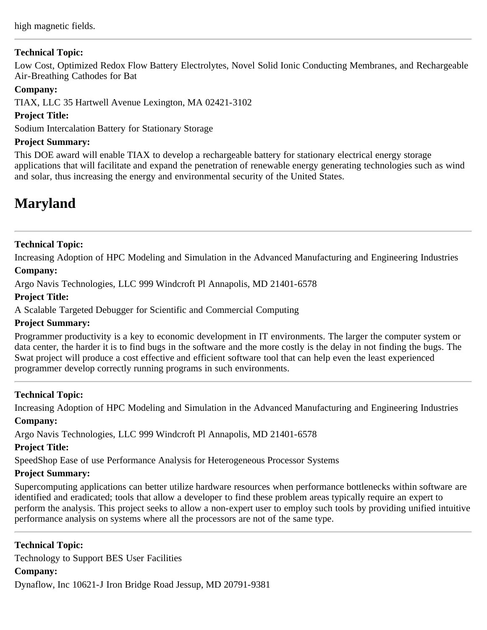high magnetic fields.

## **Technical Topic:**

Low Cost, Optimized Redox Flow Battery Electrolytes, Novel Solid Ionic Conducting Membranes, and Rechargeable Air-Breathing Cathodes for Bat

## **Company:**

TIAX, LLC 35 Hartwell Avenue Lexington, MA 02421-3102

## **Project Title:**

Sodium Intercalation Battery for Stationary Storage

## **Project Summary:**

This DOE award will enable TIAX to develop a rechargeable battery for stationary electrical energy storage applications that will facilitate and expand the penetration of renewable energy generating technologies such as wind and solar, thus increasing the energy and environmental security of the United States.

## <span id="page-26-0"></span>**Maryland**

## **Technical Topic:**

Increasing Adoption of HPC Modeling and Simulation in the Advanced Manufacturing and Engineering Industries

## **Company:**

Argo Navis Technologies, LLC 999 Windcroft Pl Annapolis, MD 21401-6578

## **Project Title:**

A Scalable Targeted Debugger for Scientific and Commercial Computing

## **Project Summary:**

Programmer productivity is a key to economic development in IT environments. The larger the computer system or data center, the harder it is to find bugs in the software and the more costly is the delay in not finding the bugs. The Swat project will produce a cost effective and efficient software tool that can help even the least experienced programmer develop correctly running programs in such environments.

## **Technical Topic:**

Increasing Adoption of HPC Modeling and Simulation in the Advanced Manufacturing and Engineering Industries

## **Company:**

Argo Navis Technologies, LLC 999 Windcroft Pl Annapolis, MD 21401-6578

## **Project Title:**

SpeedShop Ease of use Performance Analysis for Heterogeneous Processor Systems

## **Project Summary:**

Supercomputing applications can better utilize hardware resources when performance bottlenecks within software are identified and eradicated; tools that allow a developer to find these problem areas typically require an expert to perform the analysis. This project seeks to allow a non-expert user to employ such tools by providing unified intuitive performance analysis on systems where all the processors are not of the same type.

**Technical Topic:** Technology to Support BES User Facilities **Company:** Dynaflow, Inc 10621-J Iron Bridge Road Jessup, MD 20791-9381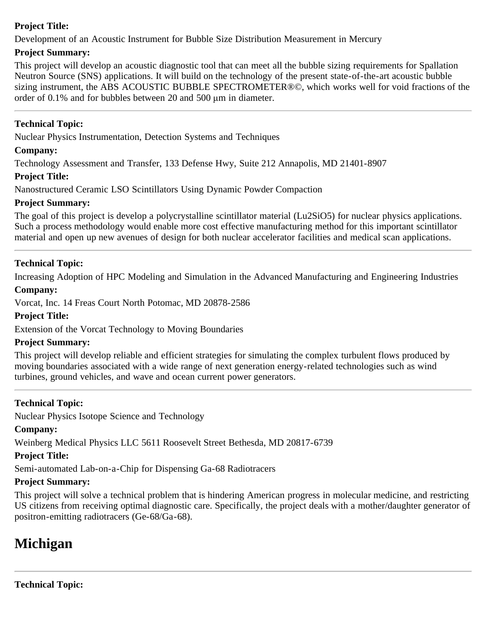## **Project Title:**

Development of an Acoustic Instrument for Bubble Size Distribution Measurement in Mercury

## **Project Summary:**

This project will develop an acoustic diagnostic tool that can meet all the bubble sizing requirements for Spallation Neutron Source (SNS) applications. It will build on the technology of the present state-of-the-art acoustic bubble sizing instrument, the ABS ACOUSTIC BUBBLE SPECTROMETER®©, which works well for void fractions of the order of 0.1% and for bubbles between 20 and 500 μm in diameter.

## **Technical Topic:**

Nuclear Physics Instrumentation, Detection Systems and Techniques

## **Company:**

Technology Assessment and Transfer, 133 Defense Hwy, Suite 212 Annapolis, MD 21401-8907

## **Project Title:**

Nanostructured Ceramic LSO Scintillators Using Dynamic Powder Compaction

## **Project Summary:**

The goal of this project is develop a polycrystalline scintillator material (Lu2SiO5) for nuclear physics applications. Such a process methodology would enable more cost effective manufacturing method for this important scintillator material and open up new avenues of design for both nuclear accelerator facilities and medical scan applications.

## **Technical Topic:**

Increasing Adoption of HPC Modeling and Simulation in the Advanced Manufacturing and Engineering Industries

#### **Company:**

Vorcat, Inc. 14 Freas Court North Potomac, MD 20878-2586

#### **Project Title:**

Extension of the Vorcat Technology to Moving Boundaries

## **Project Summary:**

This project will develop reliable and efficient strategies for simulating the complex turbulent flows produced by moving boundaries associated with a wide range of next generation energy-related technologies such as wind turbines, ground vehicles, and wave and ocean current power generators.

## **Technical Topic:**

Nuclear Physics Isotope Science and Technology

## **Company:**

Weinberg Medical Physics LLC 5611 Roosevelt Street Bethesda, MD 20817-6739

## **Project Title:**

Semi-automated Lab-on-a-Chip for Dispensing Ga-68 Radiotracers

## **Project Summary:**

This project will solve a technical problem that is hindering American progress in molecular medicine, and restricting US citizens from receiving optimal diagnostic care. Specifically, the project deals with a mother/daughter generator of positron-emitting radiotracers (Ge-68/Ga-68).

## <span id="page-27-0"></span>**Michigan**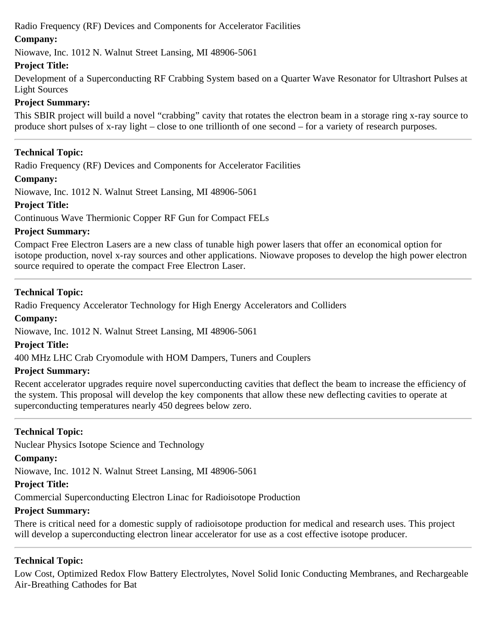Radio Frequency (RF) Devices and Components for Accelerator Facilities

## **Company:**

Niowave, Inc. 1012 N. Walnut Street Lansing, MI 48906-5061

## **Project Title:**

Development of a Superconducting RF Crabbing System based on a Quarter Wave Resonator for Ultrashort Pulses at Light Sources

## **Project Summary:**

This SBIR project will build a novel "crabbing" cavity that rotates the electron beam in a storage ring x-ray source to produce short pulses of x-ray light – close to one trillionth of one second – for a variety of research purposes.

## **Technical Topic:**

Radio Frequency (RF) Devices and Components for Accelerator Facilities

## **Company:**

Niowave, Inc. 1012 N. Walnut Street Lansing, MI 48906-5061

## **Project Title:**

Continuous Wave Thermionic Copper RF Gun for Compact FELs

## **Project Summary:**

Compact Free Electron Lasers are a new class of tunable high power lasers that offer an economical option for isotope production, novel x-ray sources and other applications. Niowave proposes to develop the high power electron source required to operate the compact Free Electron Laser.

## **Technical Topic:**

Radio Frequency Accelerator Technology for High Energy Accelerators and Colliders

## **Company:**

Niowave, Inc. 1012 N. Walnut Street Lansing, MI 48906-5061

## **Project Title:**

400 MHz LHC Crab Cryomodule with HOM Dampers, Tuners and Couplers

## **Project Summary:**

Recent accelerator upgrades require novel superconducting cavities that deflect the beam to increase the efficiency of the system. This proposal will develop the key components that allow these new deflecting cavities to operate at superconducting temperatures nearly 450 degrees below zero.

## **Technical Topic:**

Nuclear Physics Isotope Science and Technology

## **Company:**

Niowave, Inc. 1012 N. Walnut Street Lansing, MI 48906-5061

## **Project Title:**

Commercial Superconducting Electron Linac for Radioisotope Production

## **Project Summary:**

There is critical need for a domestic supply of radioisotope production for medical and research uses. This project will develop a superconducting electron linear accelerator for use as a cost effective isotope producer.

## **Technical Topic:**

Low Cost, Optimized Redox Flow Battery Electrolytes, Novel Solid Ionic Conducting Membranes, and Rechargeable Air-Breathing Cathodes for Bat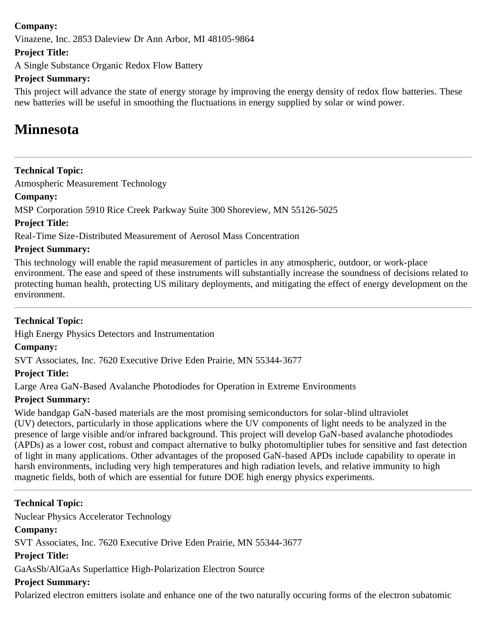## **Company:**

Vinazene, Inc. 2853 Daleview Dr Ann Arbor, MI 48105-9864

## **Project Title:**

A Single Substance Organic Redox Flow Battery

## **Project Summary:**

This project will advance the state of energy storage by improving the energy density of redox flow batteries. These new batteries will be useful in smoothing the fluctuations in energy supplied by solar or wind power.

## <span id="page-29-0"></span>**Minnesota**

## **Technical Topic:**

Atmospheric Measurement Technology

## **Company:**

MSP Corporation 5910 Rice Creek Parkway Suite 300 Shoreview, MN 55126-5025

## **Project Title:**

Real-Time Size-Distributed Measurement of Aerosol Mass Concentration

## **Project Summary:**

This technology will enable the rapid measurement of particles in any atmospheric, outdoor, or work-place environment. The ease and speed of these instruments will substantially increase the soundness of decisions related to protecting human health, protecting US military deployments, and mitigating the effect of energy development on the environment.

## **Technical Topic:**

High Energy Physics Detectors and Instrumentation

## **Company:**

SVT Associates, Inc. 7620 Executive Drive Eden Prairie, MN 55344-3677

## **Project Title:**

Large Area GaN-Based Avalanche Photodiodes for Operation in Extreme Environments

## **Project Summary:**

Wide bandgap GaN-based materials are the most promising semiconductors for solar-blind ultraviolet (UV) detectors, particularly in those applications where the UV components of light needs to be analyzed in the presence of large visible and/or infrared background. This project will develop GaN-based avalanche photodiodes (APDs) as a lower cost, robust and compact alternative to bulky photomultiplier tubes for sensitive and fast detection of light in many applications. Other advantages of the proposed GaN-based APDs include capability to operate in harsh environments, including very high temperatures and high radiation levels, and relative immunity to high magnetic fields, both of which are essential for future DOE high energy physics experiments.

## **Technical Topic:**

Nuclear Physics Accelerator Technology

## **Company:**

SVT Associates, Inc. 7620 Executive Drive Eden Prairie, MN 55344-3677

## **Project Title:**

GaAsSb/AlGaAs Superlattice High-Polarization Electron Source

## **Project Summary:**

Polarized electron emitters isolate and enhance one of the two naturally occuring forms of the electron subatomic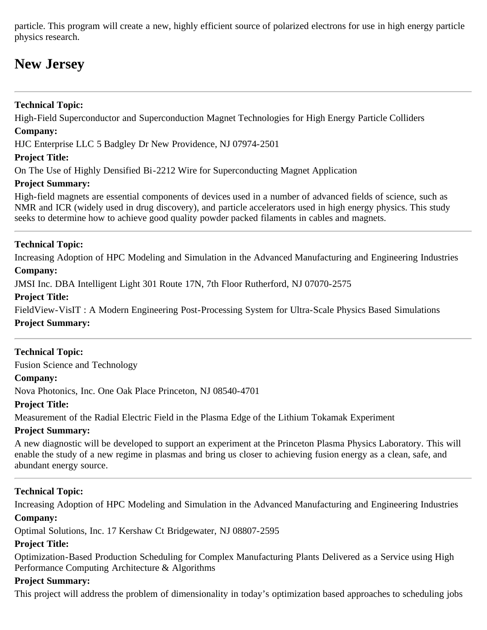particle. This program will create a new, highly efficient source of polarized electrons for use in high energy particle physics research.

## <span id="page-30-0"></span>**New Jersey**

## **Technical Topic:**

High-Field Superconductor and Superconduction Magnet Technologies for High Energy Particle Colliders **Company:**

HJC Enterprise LLC 5 Badgley Dr New Providence, NJ 07974-2501

## **Project Title:**

On The Use of Highly Densified Bi-2212 Wire for Superconducting Magnet Application

## **Project Summary:**

High-field magnets are essential components of devices used in a number of advanced fields of science, such as NMR and ICR (widely used in drug discovery), and particle accelerators used in high energy physics. This study seeks to determine how to achieve good quality powder packed filaments in cables and magnets.

## **Technical Topic:**

Increasing Adoption of HPC Modeling and Simulation in the Advanced Manufacturing and Engineering Industries

## **Company:**

JMSI Inc. DBA Intelligent Light 301 Route 17N, 7th Floor Rutherford, NJ 07070-2575

## **Project Title:**

FieldView-VisIT : A Modern Engineering Post-Processing System for Ultra-Scale Physics Based Simulations **Project Summary:**

## **Technical Topic:**

Fusion Science and Technology

## **Company:**

Nova Photonics, Inc. One Oak Place Princeton, NJ 08540-4701

## **Project Title:**

Measurement of the Radial Electric Field in the Plasma Edge of the Lithium Tokamak Experiment

## **Project Summary:**

A new diagnostic will be developed to support an experiment at the Princeton Plasma Physics Laboratory. This will enable the study of a new regime in plasmas and bring us closer to achieving fusion energy as a clean, safe, and abundant energy source.

## **Technical Topic:**

Increasing Adoption of HPC Modeling and Simulation in the Advanced Manufacturing and Engineering Industries **Company:**

Optimal Solutions, Inc. 17 Kershaw Ct Bridgewater, NJ 08807-2595

## **Project Title:**

Optimization-Based Production Scheduling for Complex Manufacturing Plants Delivered as a Service using High Performance Computing Architecture & Algorithms

## **Project Summary:**

This project will address the problem of dimensionality in today's optimization based approaches to scheduling jobs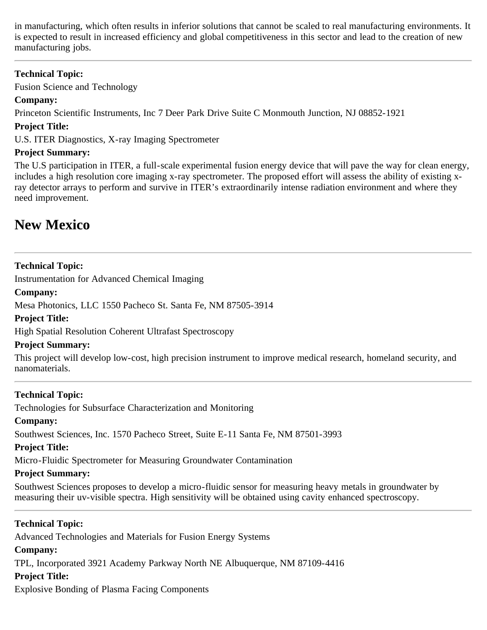in manufacturing, which often results in inferior solutions that cannot be scaled to real manufacturing environments. It is expected to result in increased efficiency and global competitiveness in this sector and lead to the creation of new manufacturing jobs.

## **Technical Topic:**

Fusion Science and Technology

## **Company:**

Princeton Scientific Instruments, Inc 7 Deer Park Drive Suite C Monmouth Junction, NJ 08852-1921

## **Project Title:**

U.S. ITER Diagnostics, X-ray Imaging Spectrometer

## **Project Summary:**

The U.S participation in ITER, a full-scale experimental fusion energy device that will pave the way for clean energy, includes a high resolution core imaging x-ray spectrometer. The proposed effort will assess the ability of existing xray detector arrays to perform and survive in ITER's extraordinarily intense radiation environment and where they need improvement.

## <span id="page-31-0"></span>**New Mexico**

## **Technical Topic:**

Instrumentation for Advanced Chemical Imaging

## **Company:**

Mesa Photonics, LLC 1550 Pacheco St. Santa Fe, NM 87505-3914

## **Project Title:**

High Spatial Resolution Coherent Ultrafast Spectroscopy

## **Project Summary:**

This project will develop low-cost, high precision instrument to improve medical research, homeland security, and nanomaterials.

## **Technical Topic:**

Technologies for Subsurface Characterization and Monitoring

## **Company:**

Southwest Sciences, Inc. 1570 Pacheco Street, Suite E-11 Santa Fe, NM 87501-3993

## **Project Title:**

Micro-Fluidic Spectrometer for Measuring Groundwater Contamination

## **Project Summary:**

Southwest Sciences proposes to develop a micro-fluidic sensor for measuring heavy metals in groundwater by measuring their uv-visible spectra. High sensitivity will be obtained using cavity enhanced spectroscopy.

## **Technical Topic:**

Advanced Technologies and Materials for Fusion Energy Systems

## **Company:**

TPL, Incorporated 3921 Academy Parkway North NE Albuquerque, NM 87109-4416

## **Project Title:**

Explosive Bonding of Plasma Facing Components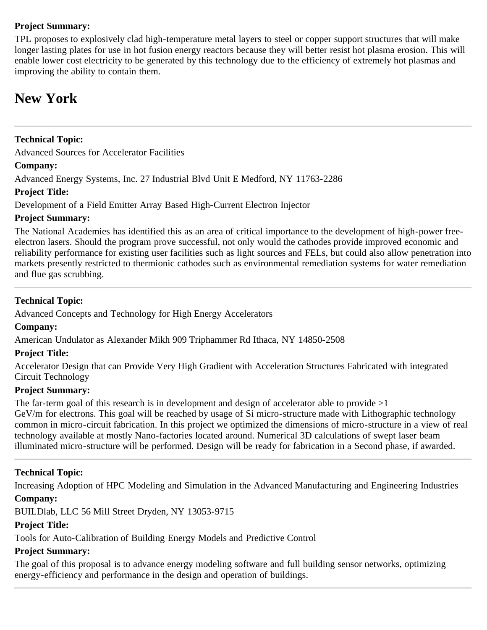## **Project Summary:**

TPL proposes to explosively clad high-temperature metal layers to steel or copper support structures that will make longer lasting plates for use in hot fusion energy reactors because they will better resist hot plasma erosion. This will enable lower cost electricity to be generated by this technology due to the efficiency of extremely hot plasmas and improving the ability to contain them.

## <span id="page-32-0"></span>**New York**

## **Technical Topic:**

Advanced Sources for Accelerator Facilities

## **Company:**

Advanced Energy Systems, Inc. 27 Industrial Blvd Unit E Medford, NY 11763-2286

## **Project Title:**

Development of a Field Emitter Array Based High-Current Electron Injector

## **Project Summary:**

The National Academies has identified this as an area of critical importance to the development of high-power freeelectron lasers. Should the program prove successful, not only would the cathodes provide improved economic and reliability performance for existing user facilities such as light sources and FELs, but could also allow penetration into markets presently restricted to thermionic cathodes such as environmental remediation systems for water remediation and flue gas scrubbing.

## **Technical Topic:**

Advanced Concepts and Technology for High Energy Accelerators

## **Company:**

American Undulator as Alexander Mikh 909 Triphammer Rd Ithaca, NY 14850-2508

## **Project Title:**

Accelerator Design that can Provide Very High Gradient with Acceleration Structures Fabricated with integrated Circuit Technology

## **Project Summary:**

The far-term goal of this research is in development and design of accelerator able to provide  $>1$ GeV/m for electrons. This goal will be reached by usage of Si micro-structure made with Lithographic technology common in micro-circuit fabrication. In this project we optimized the dimensions of micro-structure in a view of real technology available at mostly Nano-factories located around. Numerical 3D calculations of swept laser beam

illuminated micro-structure will be performed. Design will be ready for fabrication in a Second phase, if awarded.

## **Technical Topic:**

Increasing Adoption of HPC Modeling and Simulation in the Advanced Manufacturing and Engineering Industries

## **Company:**

BUILDlab, LLC 56 Mill Street Dryden, NY 13053-9715

## **Project Title:**

Tools for Auto-Calibration of Building Energy Models and Predictive Control

## **Project Summary:**

The goal of this proposal is to advance energy modeling software and full building sensor networks, optimizing energy-efficiency and performance in the design and operation of buildings.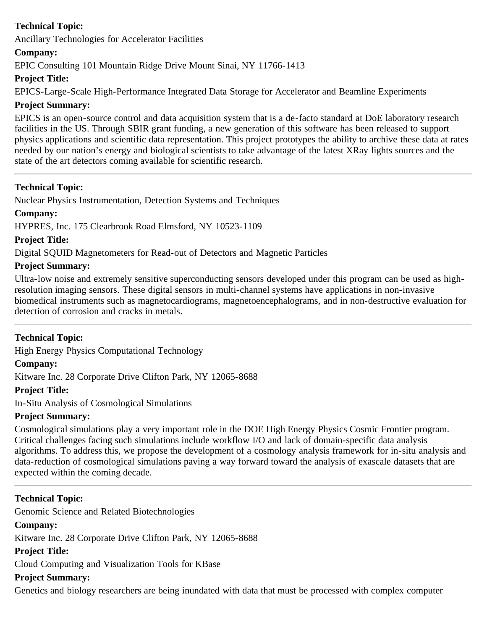Ancillary Technologies for Accelerator Facilities

## **Company:**

EPIC Consulting 101 Mountain Ridge Drive Mount Sinai, NY 11766-1413

## **Project Title:**

EPICS-Large-Scale High-Performance Integrated Data Storage for Accelerator and Beamline Experiments

## **Project Summary:**

EPICS is an open-source control and data acquisition system that is a de-facto standard at DoE laboratory research facilities in the US. Through SBIR grant funding, a new generation of this software has been released to support physics applications and scientific data representation. This project prototypes the ability to archive these data at rates needed by our nation's energy and biological scientists to take advantage of the latest XRay lights sources and the state of the art detectors coming available for scientific research.

## **Technical Topic:**

Nuclear Physics Instrumentation, Detection Systems and Techniques

## **Company:**

HYPRES, Inc. 175 Clearbrook Road Elmsford, NY 10523-1109

## **Project Title:**

Digital SQUID Magnetometers for Read-out of Detectors and Magnetic Particles

## **Project Summary:**

Ultra-low noise and extremely sensitive superconducting sensors developed under this program can be used as highresolution imaging sensors. These digital sensors in multi-channel systems have applications in non-invasive biomedical instruments such as magnetocardiograms, magnetoencephalograms, and in non-destructive evaluation for detection of corrosion and cracks in metals.

## **Technical Topic:**

High Energy Physics Computational Technology

## **Company:**

Kitware Inc. 28 Corporate Drive Clifton Park, NY 12065-8688

## **Project Title:**

In-Situ Analysis of Cosmological Simulations

## **Project Summary:**

Cosmological simulations play a very important role in the DOE High Energy Physics Cosmic Frontier program. Critical challenges facing such simulations include workflow I/O and lack of domain-specific data analysis algorithms. To address this, we propose the development of a cosmology analysis framework for in-situ analysis and data-reduction of cosmological simulations paving a way forward toward the analysis of exascale datasets that are expected within the coming decade.

## **Technical Topic:**

Genomic Science and Related Biotechnologies

## **Company:**

Kitware Inc. 28 Corporate Drive Clifton Park, NY 12065-8688

## **Project Title:**

Cloud Computing and Visualization Tools for KBase

## **Project Summary:**

Genetics and biology researchers are being inundated with data that must be processed with complex computer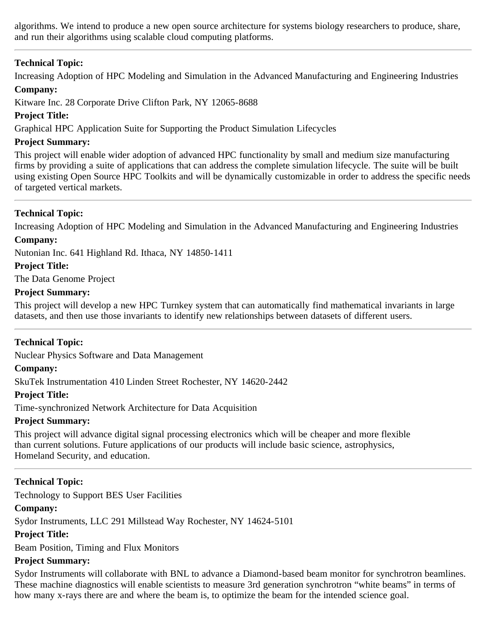algorithms. We intend to produce a new open source architecture for systems biology researchers to produce, share, and run their algorithms using scalable cloud computing platforms.

## **Technical Topic:**

Increasing Adoption of HPC Modeling and Simulation in the Advanced Manufacturing and Engineering Industries **Company:**

Kitware Inc. 28 Corporate Drive Clifton Park, NY 12065-8688

## **Project Title:**

Graphical HPC Application Suite for Supporting the Product Simulation Lifecycles

## **Project Summary:**

This project will enable wider adoption of advanced HPC functionality by small and medium size manufacturing firms by providing a suite of applications that can address the complete simulation lifecycle. The suite will be built using existing Open Source HPC Toolkits and will be dynamically customizable in order to address the specific needs of targeted vertical markets.

## **Technical Topic:**

Increasing Adoption of HPC Modeling and Simulation in the Advanced Manufacturing and Engineering Industries **Company:**

Nutonian Inc. 641 Highland Rd. Ithaca, NY 14850-1411

## **Project Title:**

The Data Genome Project

## **Project Summary:**

This project will develop a new HPC Turnkey system that can automatically find mathematical invariants in large datasets, and then use those invariants to identify new relationships between datasets of different users.

## **Technical Topic:**

Nuclear Physics Software and Data Management

## **Company:**

SkuTek Instrumentation 410 Linden Street Rochester, NY 14620-2442

#### **Project Title:**

Time-synchronized Network Architecture for Data Acquisition

## **Project Summary:**

This project will advance digital signal processing electronics which will be cheaper and more flexible than current solutions. Future applications of our products will include basic science, astrophysics, Homeland Security, and education.

## **Technical Topic:**

Technology to Support BES User Facilities

## **Company:**

Sydor Instruments, LLC 291 Millstead Way Rochester, NY 14624-5101

## **Project Title:**

Beam Position, Timing and Flux Monitors

## **Project Summary:**

Sydor Instruments will collaborate with BNL to advance a Diamond-based beam monitor for synchrotron beamlines. These machine diagnostics will enable scientists to measure 3rd generation synchrotron "white beams" in terms of how many x-rays there are and where the beam is, to optimize the beam for the intended science goal.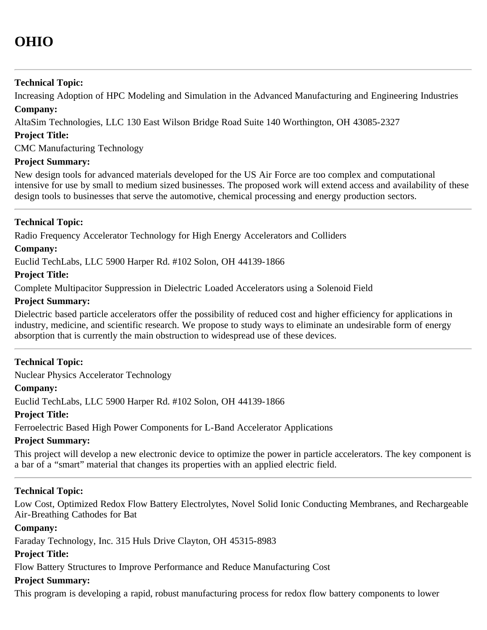<span id="page-35-0"></span>Increasing Adoption of HPC Modeling and Simulation in the Advanced Manufacturing and Engineering Industries **Company:**

AltaSim Technologies, LLC 130 East Wilson Bridge Road Suite 140 Worthington, OH 43085-2327

## **Project Title:**

CMC Manufacturing Technology

## **Project Summary:**

New design tools for advanced materials developed for the US Air Force are too complex and computational intensive for use by small to medium sized businesses. The proposed work will extend access and availability of these design tools to businesses that serve the automotive, chemical processing and energy production sectors.

## **Technical Topic:**

Radio Frequency Accelerator Technology for High Energy Accelerators and Colliders

#### **Company:**

Euclid TechLabs, LLC 5900 Harper Rd. #102 Solon, OH 44139-1866

#### **Project Title:**

Complete Multipacitor Suppression in Dielectric Loaded Accelerators using a Solenoid Field

#### **Project Summary:**

Dielectric based particle accelerators offer the possibility of reduced cost and higher efficiency for applications in industry, medicine, and scientific research. We propose to study ways to eliminate an undesirable form of energy absorption that is currently the main obstruction to widespread use of these devices.

## **Technical Topic:**

Nuclear Physics Accelerator Technology

#### **Company:**

Euclid TechLabs, LLC 5900 Harper Rd. #102 Solon, OH 44139-1866

## **Project Title:**

Ferroelectric Based High Power Components for L-Band Accelerator Applications

## **Project Summary:**

This project will develop a new electronic device to optimize the power in particle accelerators. The key component is a bar of a "smart" material that changes its properties with an applied electric field.

## **Technical Topic:**

Low Cost, Optimized Redox Flow Battery Electrolytes, Novel Solid Ionic Conducting Membranes, and Rechargeable Air-Breathing Cathodes for Bat

#### **Company:**

Faraday Technology, Inc. 315 Huls Drive Clayton, OH 45315-8983

## **Project Title:**

Flow Battery Structures to Improve Performance and Reduce Manufacturing Cost

#### **Project Summary:**

This program is developing a rapid, robust manufacturing process for redox flow battery components to lower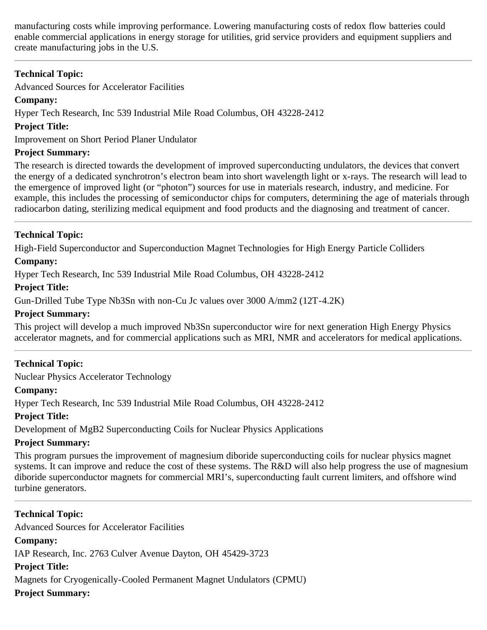manufacturing costs while improving performance. Lowering manufacturing costs of redox flow batteries could enable commercial applications in energy storage for utilities, grid service providers and equipment suppliers and create manufacturing jobs in the U.S.

## **Technical Topic:**

Advanced Sources for Accelerator Facilities

## **Company:**

Hyper Tech Research, Inc 539 Industrial Mile Road Columbus, OH 43228-2412

## **Project Title:**

Improvement on Short Period Planer Undulator

## **Project Summary:**

The research is directed towards the development of improved superconducting undulators, the devices that convert the energy of a dedicated synchrotron's electron beam into short wavelength light or x-rays. The research will lead to the emergence of improved light (or "photon") sources for use in materials research, industry, and medicine. For example, this includes the processing of semiconductor chips for computers, determining the age of materials through radiocarbon dating, sterilizing medical equipment and food products and the diagnosing and treatment of cancer.

## **Technical Topic:**

High-Field Superconductor and Superconduction Magnet Technologies for High Energy Particle Colliders

## **Company:**

Hyper Tech Research, Inc 539 Industrial Mile Road Columbus, OH 43228-2412

#### **Project Title:**

Gun-Drilled Tube Type Nb3Sn with non-Cu Jc values over 3000 A/mm2 (12T-4.2K)

## **Project Summary:**

This project will develop a much improved Nb3Sn superconductor wire for next generation High Energy Physics accelerator magnets, and for commercial applications such as MRI, NMR and accelerators for medical applications.

## **Technical Topic:**

Nuclear Physics Accelerator Technology

## **Company:**

Hyper Tech Research, Inc 539 Industrial Mile Road Columbus, OH 43228-2412

## **Project Title:**

Development of MgB2 Superconducting Coils for Nuclear Physics Applications

## **Project Summary:**

This program pursues the improvement of magnesium diboride superconducting coils for nuclear physics magnet systems. It can improve and reduce the cost of these systems. The R&D will also help progress the use of magnesium diboride superconductor magnets for commercial MRI's, superconducting fault current limiters, and offshore wind turbine generators.

## **Technical Topic:**

Advanced Sources for Accelerator Facilities **Company:** IAP Research, Inc. 2763 Culver Avenue Dayton, OH 45429-3723 **Project Title:** Magnets for Cryogenically-Cooled Permanent Magnet Undulators (CPMU) **Project Summary:**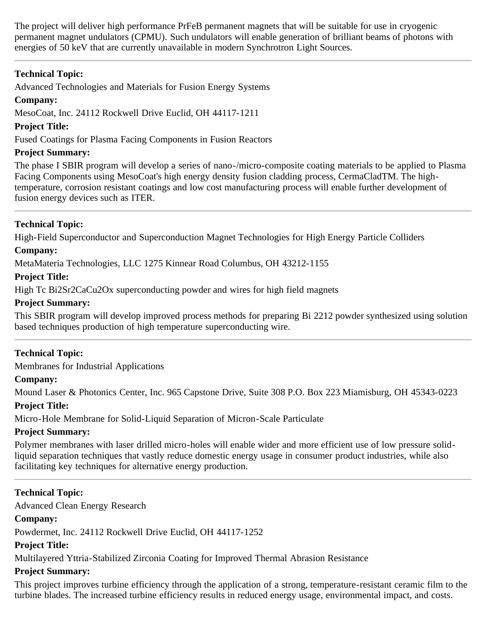The project will deliver high performance PrFeB permanent magnets that will be suitable for use in cryogenic permanent magnet undulators (CPMU). Such undulators will enable generation of brilliant beams of photons with energies of 50 keV that are currently unavailable in modern Synchrotron Light Sources.

## **Technical Topic:**

Advanced Technologies and Materials for Fusion Energy Systems

## **Company:**

MesoCoat, Inc. 24112 Rockwell Drive Euclid, OH 44117-1211

## **Project Title:**

Fused Coatings for Plasma Facing Components in Fusion Reactors

## **Project Summary:**

The phase I SBIR program will develop a series of nano-/micro-composite coating materials to be applied to Plasma Facing Components using MesoCoat's high energy density fusion cladding process, CermaCladTM. The hightemperature, corrosion resistant coatings and low cost manufacturing process will enable further development of fusion energy devices such as ITER.

## **Technical Topic:**

High-Field Superconductor and Superconduction Magnet Technologies for High Energy Particle Colliders

## **Company:**

MetaMateria Technologies, LLC 1275 Kinnear Road Columbus, OH 43212-1155

#### **Project Title:**

High Tc Bi2Sr2CaCu2Ox superconducting powder and wires for high field magnets

#### **Project Summary:**

This SBIR program will develop improved process methods for preparing Bi 2212 powder synthesized using solution based techniques production of high temperature superconducting wire.

## **Technical Topic:**

Membranes for Industrial Applications

## **Company:**

Mound Laser & Photonics Center, Inc. 965 Capstone Drive, Suite 308 P.O. Box 223 Miamisburg, OH 45343-0223

## **Project Title:**

Micro-Hole Membrane for Solid-Liquid Separation of Micron-Scale Particulate

## **Project Summary:**

Polymer membranes with laser drilled micro-holes will enable wider and more efficient use of low pressure solidliquid separation techniques that vastly reduce domestic energy usage in consumer product industries, while also facilitating key techniques for alternative energy production.

## **Technical Topic:**

Advanced Clean Energy Research

## **Company:**

Powdermet, Inc. 24112 Rockwell Drive Euclid, OH 44117-1252

## **Project Title:**

Multilayered Yttria-Stabilized Zirconia Coating for Improved Thermal Abrasion Resistance

## **Project Summary:**

This project improves turbine efficiency through the application of a strong, temperature-resistant ceramic film to the turbine blades. The increased turbine efficiency results in reduced energy usage, environmental impact, and costs.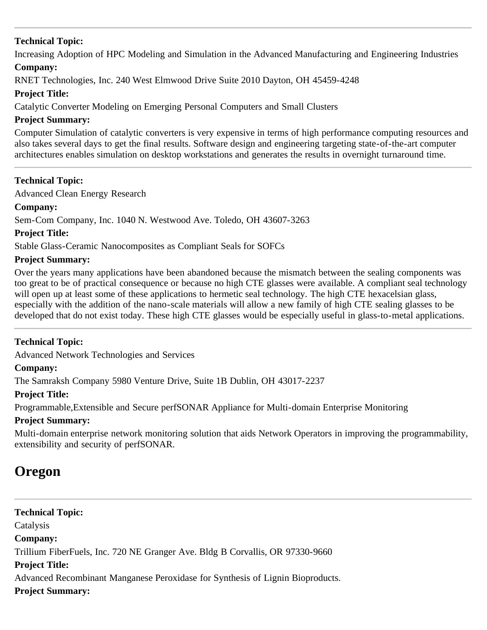Increasing Adoption of HPC Modeling and Simulation in the Advanced Manufacturing and Engineering Industries

## **Company:**

RNET Technologies, Inc. 240 West Elmwood Drive Suite 2010 Dayton, OH 45459-4248

## **Project Title:**

Catalytic Converter Modeling on Emerging Personal Computers and Small Clusters

## **Project Summary:**

Computer Simulation of catalytic converters is very expensive in terms of high performance computing resources and also takes several days to get the final results. Software design and engineering targeting state-of-the-art computer architectures enables simulation on desktop workstations and generates the results in overnight turnaround time.

## **Technical Topic:**

Advanced Clean Energy Research

## **Company:**

Sem-Com Company, Inc. 1040 N. Westwood Ave. Toledo, OH 43607-3263

## **Project Title:**

Stable Glass-Ceramic Nanocomposites as Compliant Seals for SOFCs

#### **Project Summary:**

Over the years many applications have been abandoned because the mismatch between the sealing components was too great to be of practical consequence or because no high CTE glasses were available. A compliant seal technology will open up at least some of these applications to hermetic seal technology. The high CTE hexacelsian glass, especially with the addition of the nano-scale materials will allow a new family of high CTE sealing glasses to be developed that do not exist today. These high CTE glasses would be especially useful in glass-to-metal applications.

## **Technical Topic:**

Advanced Network Technologies and Services

## **Company:**

The Samraksh Company 5980 Venture Drive, Suite 1B Dublin, OH 43017-2237

## **Project Title:**

Programmable,Extensible and Secure perfSONAR Appliance for Multi-domain Enterprise Monitoring

## **Project Summary:**

Multi-domain enterprise network monitoring solution that aids Network Operators in improving the programmability, extensibility and security of perfSONAR.

## **Oregon**

**Technical Topic: Catalysis Company:** Trillium FiberFuels, Inc. 720 NE Granger Ave. Bldg B Corvallis, OR 97330-9660 **Project Title:** Advanced Recombinant Manganese Peroxidase for Synthesis of Lignin Bioproducts. **Project Summary:**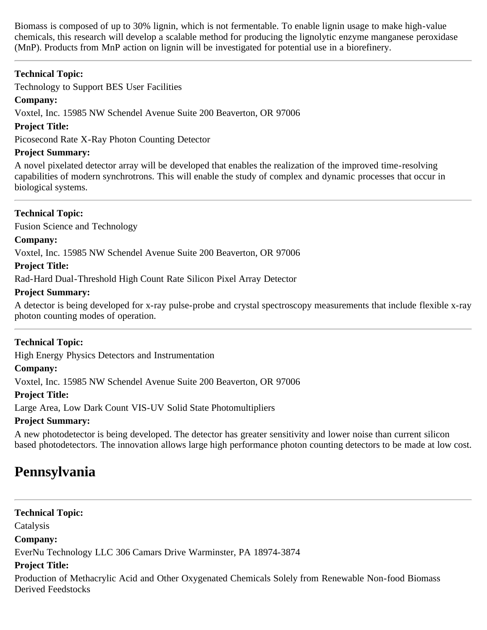Biomass is composed of up to 30% lignin, which is not fermentable. To enable lignin usage to make high-value chemicals, this research will develop a scalable method for producing the lignolytic enzyme manganese peroxidase (MnP). Products from MnP action on lignin will be investigated for potential use in a biorefinery.

## **Technical Topic:**

Technology to Support BES User Facilities

## **Company:**

Voxtel, Inc. 15985 NW Schendel Avenue Suite 200 Beaverton, OR 97006

## **Project Title:**

Picosecond Rate X-Ray Photon Counting Detector

## **Project Summary:**

A novel pixelated detector array will be developed that enables the realization of the improved time-resolving capabilities of modern synchrotrons. This will enable the study of complex and dynamic processes that occur in biological systems.

## **Technical Topic:**

Fusion Science and Technology

## **Company:**

Voxtel, Inc. 15985 NW Schendel Avenue Suite 200 Beaverton, OR 97006

## **Project Title:**

Rad-Hard Dual-Threshold High Count Rate Silicon Pixel Array Detector

## **Project Summary:**

A detector is being developed for x-ray pulse-probe and crystal spectroscopy measurements that include flexible x-ray photon counting modes of operation.

## **Technical Topic:**

High Energy Physics Detectors and Instrumentation

## **Company:**

Voxtel, Inc. 15985 NW Schendel Avenue Suite 200 Beaverton, OR 97006

## **Project Title:**

Large Area, Low Dark Count VIS-UV Solid State Photomultipliers

## **Project Summary:**

A new photodetector is being developed. The detector has greater sensitivity and lower noise than current silicon based photodetectors. The innovation allows large high performance photon counting detectors to be made at low cost.

## <span id="page-39-0"></span>**Pennsylvania**

## **Technical Topic:**

Catalysis

## **Company:**

EverNu Technology LLC 306 Camars Drive Warminster, PA 18974-3874

## **Project Title:**

Production of Methacrylic Acid and Other Oxygenated Chemicals Solely from Renewable Non-food Biomass Derived Feedstocks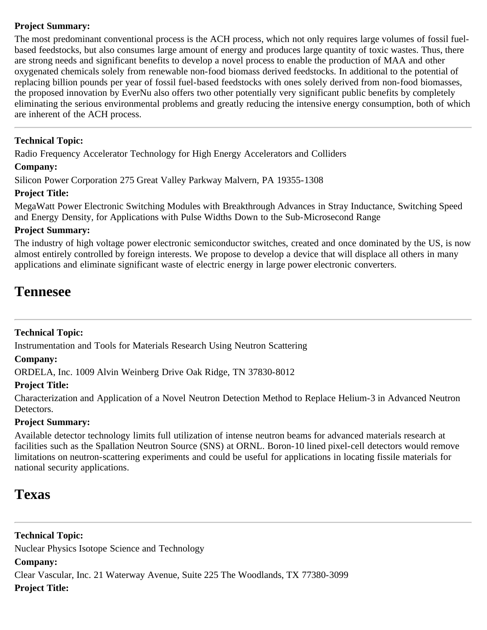## **Project Summary:**

The most predominant conventional process is the ACH process, which not only requires large volumes of fossil fuelbased feedstocks, but also consumes large amount of energy and produces large quantity of toxic wastes. Thus, there are strong needs and significant benefits to develop a novel process to enable the production of MAA and other oxygenated chemicals solely from renewable non-food biomass derived feedstocks. In additional to the potential of replacing billion pounds per year of fossil fuel-based feedstocks with ones solely derived from non-food biomasses, the proposed innovation by EverNu also offers two other potentially very significant public benefits by completely eliminating the serious environmental problems and greatly reducing the intensive energy consumption, both of which are inherent of the ACH process.

## **Technical Topic:**

Radio Frequency Accelerator Technology for High Energy Accelerators and Colliders

## **Company:**

Silicon Power Corporation 275 Great Valley Parkway Malvern, PA 19355-1308

## **Project Title:**

MegaWatt Power Electronic Switching Modules with Breakthrough Advances in Stray Inductance, Switching Speed and Energy Density, for Applications with Pulse Widths Down to the Sub-Microsecond Range

## **Project Summary:**

The industry of high voltage power electronic semiconductor switches, created and once dominated by the US, is now almost entirely controlled by foreign interests. We propose to develop a device that will displace all others in many applications and eliminate significant waste of electric energy in large power electronic converters.

## <span id="page-40-0"></span>**Tennesee**

## **Technical Topic:**

Instrumentation and Tools for Materials Research Using Neutron Scattering

## **Company:**

ORDELA, Inc. 1009 Alvin Weinberg Drive Oak Ridge, TN 37830-8012

## **Project Title:**

Characterization and Application of a Novel Neutron Detection Method to Replace Helium-3 in Advanced Neutron Detectors.

## **Project Summary:**

Available detector technology limits full utilization of intense neutron beams for advanced materials research at facilities such as the Spallation Neutron Source (SNS) at ORNL. Boron-10 lined pixel-cell detectors would remove limitations on neutron-scattering experiments and could be useful for applications in locating fissile materials for national security applications.

## <span id="page-40-1"></span>**Texas**

**Technical Topic:** Nuclear Physics Isotope Science and Technology **Company:** Clear Vascular, Inc. 21 Waterway Avenue, Suite 225 The Woodlands, TX 77380-3099 **Project Title:**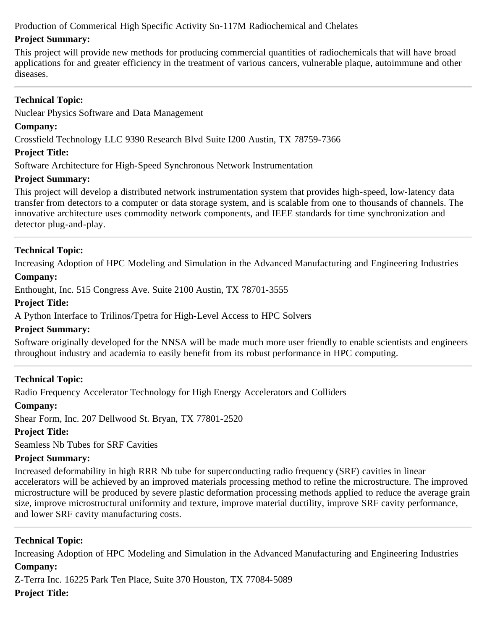Production of Commerical High Specific Activity Sn-117M Radiochemical and Chelates

## **Project Summary:**

This project will provide new methods for producing commercial quantities of radiochemicals that will have broad applications for and greater efficiency in the treatment of various cancers, vulnerable plaque, autoimmune and other diseases.

## **Technical Topic:**

Nuclear Physics Software and Data Management

## **Company:**

Crossfield Technology LLC 9390 Research Blvd Suite I200 Austin, TX 78759-7366

## **Project Title:**

Software Architecture for High-Speed Synchronous Network Instrumentation

## **Project Summary:**

This project will develop a distributed network instrumentation system that provides high-speed, low-latency data transfer from detectors to a computer or data storage system, and is scalable from one to thousands of channels. The innovative architecture uses commodity network components, and IEEE standards for time synchronization and detector plug-and-play.

## **Technical Topic:**

Increasing Adoption of HPC Modeling and Simulation in the Advanced Manufacturing and Engineering Industries

## **Company:**

Enthought, Inc. 515 Congress Ave. Suite 2100 Austin, TX 78701-3555

## **Project Title:**

A Python Interface to Trilinos/Tpetra for High-Level Access to HPC Solvers

## **Project Summary:**

Software originally developed for the NNSA will be made much more user friendly to enable scientists and engineers throughout industry and academia to easily benefit from its robust performance in HPC computing.

## **Technical Topic:**

Radio Frequency Accelerator Technology for High Energy Accelerators and Colliders

## **Company:**

Shear Form, Inc. 207 Dellwood St. Bryan, TX 77801-2520

## **Project Title:**

Seamless Nb Tubes for SRF Cavities

## **Project Summary:**

Increased deformability in high RRR Nb tube for superconducting radio frequency (SRF) cavities in linear accelerators will be achieved by an improved materials processing method to refine the microstructure. The improved microstructure will be produced by severe plastic deformation processing methods applied to reduce the average grain size, improve microstructural uniformity and texture, improve material ductility, improve SRF cavity performance, and lower SRF cavity manufacturing costs.

## **Technical Topic:**

Increasing Adoption of HPC Modeling and Simulation in the Advanced Manufacturing and Engineering Industries **Company:**

Z-Terra Inc. 16225 Park Ten Place, Suite 370 Houston, TX 77084-5089 **Project Title:**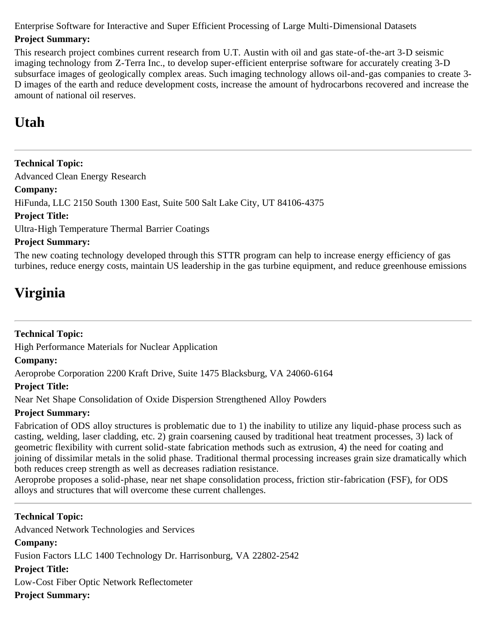Enterprise Software for Interactive and Super Efficient Processing of Large Multi-Dimensional Datasets

## **Project Summary:**

This research project combines current research from U.T. Austin with oil and gas state-of-the-art 3-D seismic imaging technology from Z-Terra Inc., to develop super-efficient enterprise software for accurately creating 3-D subsurface images of geologically complex areas. Such imaging technology allows oil-and-gas companies to create 3- D images of the earth and reduce development costs, increase the amount of hydrocarbons recovered and increase the amount of national oil reserves.

## <span id="page-42-0"></span>**Utah**

**Technical Topic:** Advanced Clean Energy Research **Company:** HiFunda, LLC 2150 South 1300 East, Suite 500 Salt Lake City, UT 84106-4375 **Project Title:** Ultra-High Temperature Thermal Barrier Coatings **Project Summary:**

The new coating technology developed through this STTR program can help to increase energy efficiency of gas turbines, reduce energy costs, maintain US leadership in the gas turbine equipment, and reduce greenhouse emissions

# <span id="page-42-1"></span>**Virginia**

## **Technical Topic:**

High Performance Materials for Nuclear Application

## **Company:**

Aeroprobe Corporation 2200 Kraft Drive, Suite 1475 Blacksburg, VA 24060-6164

## **Project Title:**

Near Net Shape Consolidation of Oxide Dispersion Strengthened Alloy Powders

## **Project Summary:**

Fabrication of ODS alloy structures is problematic due to 1) the inability to utilize any liquid-phase process such as casting, welding, laser cladding, etc. 2) grain coarsening caused by traditional heat treatment processes, 3) lack of geometric flexibility with current solid-state fabrication methods such as extrusion, 4) the need for coating and joining of dissimilar metals in the solid phase. Traditional thermal processing increases grain size dramatically which both reduces creep strength as well as decreases radiation resistance.

Aeroprobe proposes a solid-phase, near net shape consolidation process, friction stir-fabrication (FSF), for ODS alloys and structures that will overcome these current challenges.

## **Technical Topic:**

Advanced Network Technologies and Services **Company:** Fusion Factors LLC 1400 Technology Dr. Harrisonburg, VA 22802-2542 **Project Title:** Low-Cost Fiber Optic Network Reflectometer **Project Summary:**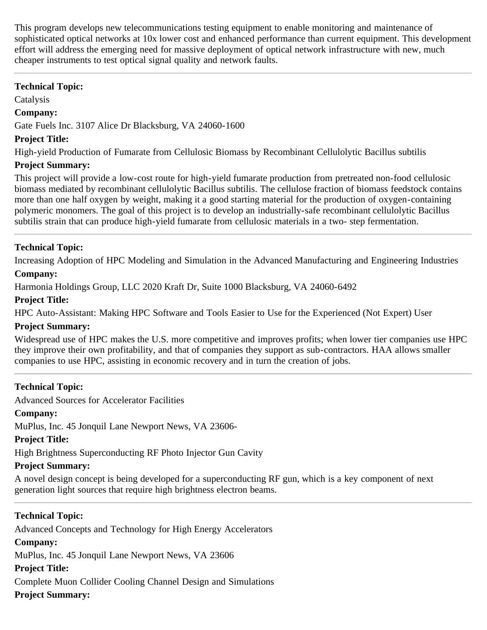This program develops new telecommunications testing equipment to enable monitoring and maintenance of sophisticated optical networks at 10x lower cost and enhanced performance than current equipment. This development effort will address the emerging need for massive deployment of optical network infrastructure with new, much cheaper instruments to test optical signal quality and network faults.

#### **Technical Topic:**

Catalysis

#### **Company:**

Gate Fuels Inc. 3107 Alice Dr Blacksburg, VA 24060-1600

#### **Project Title:**

High-yield Production of Fumarate from Cellulosic Biomass by Recombinant Cellulolytic Bacillus subtilis

## **Project Summary:**

This project will provide a low-cost route for high-yield fumarate production from pretreated non-food cellulosic biomass mediated by recombinant cellulolytic Bacillus subtilis. The cellulose fraction of biomass feedstock contains more than one half oxygen by weight, making it a good starting material for the production of oxygen-containing polymeric monomers. The goal of this project is to develop an industrially-safe recombinant cellulolytic Bacillus subtilis strain that can produce high-yield fumarate from cellulosic materials in a two- step fermentation.

## **Technical Topic:**

Increasing Adoption of HPC Modeling and Simulation in the Advanced Manufacturing and Engineering Industries

#### **Company:**

Harmonia Holdings Group, LLC 2020 Kraft Dr, Suite 1000 Blacksburg, VA 24060-6492

## **Project Title:**

HPC Auto-Assistant: Making HPC Software and Tools Easier to Use for the Experienced (Not Expert) User

#### **Project Summary:**

Widespread use of HPC makes the U.S. more competitive and improves profits; when lower tier companies use HPC they improve their own profitability, and that of companies they support as sub-contractors. HAA allows smaller companies to use HPC, assisting in economic recovery and in turn the creation of jobs.

## **Technical Topic:**

Advanced Sources for Accelerator Facilities

## **Company:**

MuPlus, Inc. 45 Jonquil Lane Newport News, VA 23606-

## **Project Title:**

High Brightness Superconducting RF Photo Injector Gun Cavity

## **Project Summary:**

A novel design concept is being developed for a superconducting RF gun, which is a key component of next generation light sources that require high brightness electron beams.

## **Technical Topic:**

Advanced Concepts and Technology for High Energy Accelerators **Company:** MuPlus, Inc. 45 Jonquil Lane Newport News, VA 23606 **Project Title:** Complete Muon Collider Cooling Channel Design and Simulations **Project Summary:**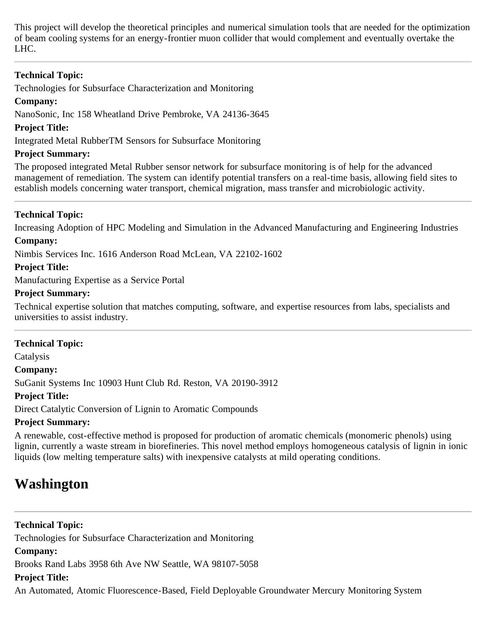This project will develop the theoretical principles and numerical simulation tools that are needed for the optimization of beam cooling systems for an energy-frontier muon collider that would complement and eventually overtake the LHC.

## **Technical Topic:**

Technologies for Subsurface Characterization and Monitoring

## **Company:**

NanoSonic, Inc 158 Wheatland Drive Pembroke, VA 24136-3645

## **Project Title:**

Integrated Metal RubberTM Sensors for Subsurface Monitoring

## **Project Summary:**

The proposed integrated Metal Rubber sensor network for subsurface monitoring is of help for the advanced management of remediation. The system can identify potential transfers on a real-time basis, allowing field sites to establish models concerning water transport, chemical migration, mass transfer and microbiologic activity.

## **Technical Topic:**

Increasing Adoption of HPC Modeling and Simulation in the Advanced Manufacturing and Engineering Industries

## **Company:**

Nimbis Services Inc. 1616 Anderson Road McLean, VA 22102-1602

## **Project Title:**

Manufacturing Expertise as a Service Portal

## **Project Summary:**

Technical expertise solution that matches computing, software, and expertise resources from labs, specialists and universities to assist industry.

## **Technical Topic:**

Catalysis

#### **Company:**

SuGanit Systems Inc 10903 Hunt Club Rd. Reston, VA 20190-3912

## **Project Title:**

Direct Catalytic Conversion of Lignin to Aromatic Compounds

## **Project Summary:**

A renewable, cost-effective method is proposed for production of aromatic chemicals (monomeric phenols) using lignin, currently a waste stream in biorefineries. This novel method employs homogeneous catalysis of lignin in ionic liquids (low melting temperature salts) with inexpensive catalysts at mild operating conditions.

## <span id="page-44-0"></span>**Washington**

**Technical Topic:** Technologies for Subsurface Characterization and Monitoring **Company:** Brooks Rand Labs 3958 6th Ave NW Seattle, WA 98107-5058 **Project Title:**

An Automated, Atomic Fluorescence-Based, Field Deployable Groundwater Mercury Monitoring System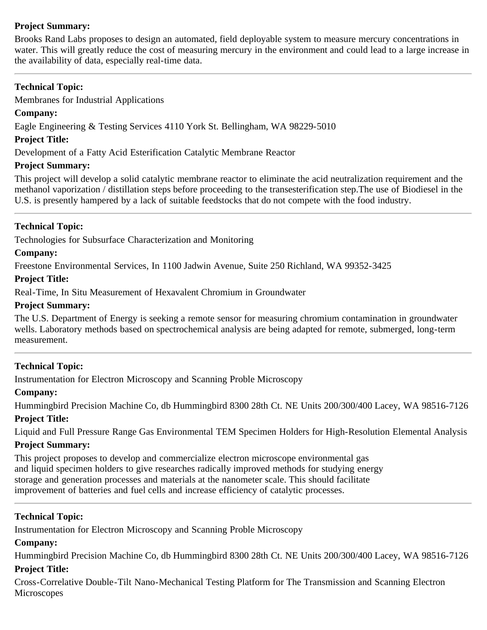## **Project Summary:**

Brooks Rand Labs proposes to design an automated, field deployable system to measure mercury concentrations in water. This will greatly reduce the cost of measuring mercury in the environment and could lead to a large increase in the availability of data, especially real-time data.

## **Technical Topic:**

Membranes for Industrial Applications

## **Company:**

Eagle Engineering & Testing Services 4110 York St. Bellingham, WA 98229-5010

## **Project Title:**

Development of a Fatty Acid Esterification Catalytic Membrane Reactor

## **Project Summary:**

This project will develop a solid catalytic membrane reactor to eliminate the acid neutralization requirement and the methanol vaporization / distillation steps before proceeding to the transesterification step.The use of Biodiesel in the U.S. is presently hampered by a lack of suitable feedstocks that do not compete with the food industry.

## **Technical Topic:**

Technologies for Subsurface Characterization and Monitoring

## **Company:**

Freestone Environmental Services, In 1100 Jadwin Avenue, Suite 250 Richland, WA 99352-3425

## **Project Title:**

Real-Time, In Situ Measurement of Hexavalent Chromium in Groundwater

## **Project Summary:**

The U.S. Department of Energy is seeking a remote sensor for measuring chromium contamination in groundwater wells. Laboratory methods based on spectrochemical analysis are being adapted for remote, submerged, long-term measurement.

## **Technical Topic:**

Instrumentation for Electron Microscopy and Scanning Proble Microscopy

## **Company:**

Hummingbird Precision Machine Co, db Hummingbird 8300 28th Ct. NE Units 200/300/400 Lacey, WA 98516-7126 **Project Title:**

Liquid and Full Pressure Range Gas Environmental TEM Specimen Holders for High-Resolution Elemental Analysis

## **Project Summary:**

This project proposes to develop and commercialize electron microscope environmental gas and liquid specimen holders to give researches radically improved methods for studying energy storage and generation processes and materials at the nanometer scale. This should facilitate improvement of batteries and fuel cells and increase efficiency of catalytic processes.

## **Technical Topic:**

Instrumentation for Electron Microscopy and Scanning Proble Microscopy

## **Company:**

Hummingbird Precision Machine Co, db Hummingbird 8300 28th Ct. NE Units 200/300/400 Lacey, WA 98516-7126 **Project Title:**

Cross-Correlative Double-Tilt Nano-Mechanical Testing Platform for The Transmission and Scanning Electron **Microscopes**